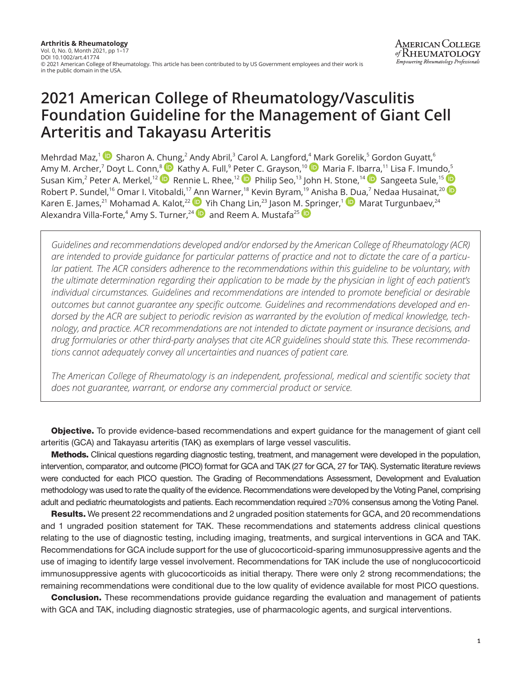# **2021 American College of Rheumatology/Vasculitis Foundation Guideline for the Management of Giant Cell Arteritis and Takayasu Arteritis**

MehrdadMaz,<sup>1</sup>  $\blacksquare$  Sharon A. [Chun](https://orcid.org/0000-0003-3303-3944)g,<sup>2</sup> Andy Abril,<sup>3</sup> Carol A. Langford,<sup>4</sup> [M](https://orcid.org/0000-0002-8269-9438)ark Gorelik,<sup>5</sup> Gordon Guyatt,<sup>6</sup> Amy M. Archer[,](https://orcid.org/0000-0001-9284-7345)<sup>7</sup> Doyt L. Conn,<sup>8 (</sup>D) Kathy A. Full,<sup>9</sup> P[eter](https://orcid.org/0000-0002-4907-0304) C. Grayson,<sup>10</sup> (D) Maria F. Ib[arra](https://orcid.org/0000-0001-6588-9435),<sup>11</sup> Lisa F. Imund[o,](https://orcid.org/0000-0002-5876-376X)<sup>5</sup> Susan Kim,<sup>2</sup> Peter A. Merkel,<sup>12</sup> D Rennie L. Rhee,<sup>12</sup> D Philip Seo,<sup>13</sup> John H. Stone,<sup>14</sup> D Sangeeta Sule,<sup>15</sup> Robert P. Sundel,<sup>16</sup> Omar I. Vitobaldi,<sup>17</sup> [An](https://orcid.org/0000-0002-6581-4561)n Warner,<sup>18</sup> Kevin Byram,<sup>19</sup> Anisha [B. Du](https://orcid.org/0000-0002-3903-6049)a,<sup>7</sup> Nedaa Husainat,<sup>20</sup> Karen E. James,<sup>21</sup> Mohamad A. Kalot,<sup>22</sup> D Yih Chang Lin,<sup>23</sup> Jason [M. Sp](https://orcid.org/0000-0002-2091-0875)ringer,<sup>1</sup> D Marat Turgunbaev,<sup>24</sup> AlexandraVilla-Forte, $^{\textrm{4}}$  Amy S. Turner, $^{24}$   $\textcolor{blue}\bullet$  and Reem A. Mustafa $^{25}$ 

*Guidelines and recommendations developed and/or endorsed by the American College of Rheumatology (ACR) are intended to provide guidance for particular patterns of practice and not to dictate the care of a particular patient. The ACR considers adherence to the recommendations within this guideline to be voluntary, with the ultimate determination regarding their application to be made by the physician in light of each patient's individual circumstances. Guidelines and recommendations are intended to promote beneficial or desirable outcomes but cannot guarantee any specific outcome. Guidelines and recommendations developed and endorsed by the ACR are subject to periodic revision as warranted by the evolution of medical knowledge, technology, and practice. ACR recommendations are not intended to dictate payment or insurance decisions, and drug formularies or other third-party analyses that cite ACR guidelines should state this. These recommendations cannot adequately convey all uncertainties and nuances of patient care.*

*The American College of Rheumatology is an independent, professional, medical and scientific society that does not guarantee, warrant, or endorse any commercial product or service.*

**Objective.** To provide evidence-based recommendations and expert guidance for the management of giant cell arteritis (GCA) and Takayasu arteritis (TAK) as exemplars of large vessel vasculitis.

Methods. Clinical questions regarding diagnostic testing, treatment, and management were developed in the population, intervention, comparator, and outcome (PICO) format for GCA and TAK (27 for GCA, 27 for TAK). Systematic literature reviews were conducted for each PICO question. The Grading of Recommendations Assessment, Development and Evaluation methodology was used to rate the quality of the evidence. Recommendations were developed by the Voting Panel, comprising adult and pediatric rheumatologists and patients. Each recommendation required ≥70% consensus among the Voting Panel.

Results. We present 22 recommendations and 2 ungraded position statements for GCA, and 20 recommendations and 1 ungraded position statement for TAK. These recommendations and statements address clinical questions relating to the use of diagnostic testing, including imaging, treatments, and surgical interventions in GCA and TAK. Recommendations for GCA include support for the use of glucocorticoid-sparing immunosuppressive agents and the use of imaging to identify large vessel involvement. Recommendations for TAK include the use of nonglucocorticoid immunosuppressive agents with glucocorticoids as initial therapy. There were only 2 strong recommendations; the remaining recommendations were conditional due to the low quality of evidence available for most PICO questions.

**Conclusion.** These recommendations provide guidance regarding the evaluation and management of patients with GCA and TAK, including diagnostic strategies, use of pharmacologic agents, and surgical interventions.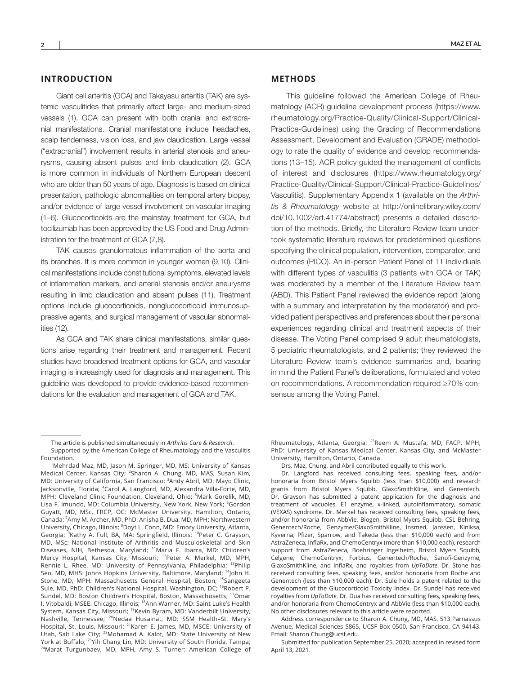#### **INTRODUCTION**

Giant cell arteritis (GCA) and Takayasu arteritis (TAK) are systemic vasculitides that primarily affect large- and medium-sized vessels (1). GCA can present with both cranial and extracranial manifestations. Cranial manifestations include headaches, scalp tenderness, vision loss, and jaw claudication. Large vessel ("extracranial") involvement results in arterial stenosis and aneurysms, causing absent pulses and limb claudication (2). GCA is more common in individuals of Northern European descent who are older than 50 years of age. Diagnosis is based on clinical presentation, pathologic abnormalities on temporal artery biopsy, and/or evidence of large vessel involvement on vascular imaging (1–6). Glucocorticoids are the mainstay treatment for GCA, but tocilizumab has been approved by the US Food and Drug Administration for the treatment of GCA (7,8).

TAK causes granulomatous inflammation of the aorta and its branches. It is more common in younger women (9,10). Clinical manifestations include constitutional symptoms, elevated levels of inflammation markers, and arterial stenosis and/or aneurysms resulting in limb claudication and absent pulses (11). Treatment options include glucocorticoids, nonglucocorticoid immunosuppressive agents, and surgical management of vascular abnormalities (12).

As GCA and TAK share clinical manifestations, similar questions arise regarding their treatment and management. Recent studies have broadened treatment options for GCA, and vascular imaging is increasingly used for diagnosis and management. This guideline was developed to provide evidence-based recommendations for the evaluation and management of GCA and TAK.

#### **METHODS**

This guideline followed the American College of Rheumatology (ACR) guideline development process ([https://www.](https://www.rheumatology.org/Practice-Quality/Clinical-Support/Clinical-Practice-Guidelines) [rheumatology.org/Practice-Quality/Clinical-Support/Clinical-](https://www.rheumatology.org/Practice-Quality/Clinical-Support/Clinical-Practice-Guidelines)[Practice-Guidelines\)](https://www.rheumatology.org/Practice-Quality/Clinical-Support/Clinical-Practice-Guidelines) using the Grading of Recommendations Assessment, Development and Evaluation (GRADE) methodology to rate the quality of evidence and develop recommendations (13–15). ACR policy guided the management of conflicts of interest and disclosures ([https://www.rheumatology.org/](https://www.rheumatology.org/Practice-Quality/Clinical-Support/Clinical-Practice-Guidelines/Vasculitis) [Practice-Quality/Clinical-Support/Clinical-Practice-Guidelines/](https://www.rheumatology.org/Practice-Quality/Clinical-Support/Clinical-Practice-Guidelines/Vasculitis) [Vasculitis](https://www.rheumatology.org/Practice-Quality/Clinical-Support/Clinical-Practice-Guidelines/Vasculitis)). Supplementary Appendix 1 (available on the *Arthritis & Rheumatology* website at [http://onlinelibrary.wiley.com/](http://onlinelibrary.wiley.com/doi/10.1002/art.41774/abstract) [doi/10.1002/art.41774/abstract](http://onlinelibrary.wiley.com/doi/10.1002/art.41774/abstract)) presents a detailed description of the methods. Briefly, the Literature Review team undertook systematic literature reviews for predetermined questions specifying the clinical population, intervention, comparator, and outcomes (PICO). An in-person Patient Panel of 11 individuals with different types of vasculitis (3 patients with GCA or TAK) was moderated by a member of the Literature Review team (ABD). This Patient Panel reviewed the evidence report (along with a summary and interpretation by the moderator) and provided patient perspectives and preferences about their personal experiences regarding clinical and treatment aspects of their disease. The Voting Panel comprised 9 adult rheumatologists, 5 pediatric rheumatologists, and 2 patients; they reviewed the Literature Review team's evidence summaries and, bearing in mind the Patient Panel's deliberations, formulated and voted on recommendations. A recommendation required ≥70% consensus among the Voting Panel.

Rheumatology, Atlanta, Georgia; <sup>25</sup>Reem A. Mustafa, MD, FACP, MPH, PhD: University of Kansas Medical Center, Kansas City, and McMaster University, Hamilton, Ontario, Canada.

Drs. Maz, Chung, and Abril contributed equally to this work.

Dr. Langford has received consulting fees, speaking fees, and/or honoraria from Bristol Myers Squibb (less than \$10,000) and research grants from Bristol Myers Squibb, GlaxoSmithKline, and Genentech. Dr. Grayson has submitted a patent application for the diagnosis and treatment of vacuoles, E1 enzyme, x-linked, autoinflammatory, somatic (VEXAS) syndrome. Dr. Merkel has received consulting fees, speaking fees, and/or honoraria from AbbVie, Biogen, Bristol Myers Squibb, CSL Behring, Genentech/Roche, Genzyme/GlaxoSmithKline, Insmed, Janssen, Kiniksa, Kyverna, Pfizer, Sparrow, and Takeda (less than \$10,000 each) and from AstraZeneca, InflaRx, and ChemoCentryx (more than \$10,000 each), research support from AstraZeneca, Boehringer Ingelheim, Bristol Myers Squibb, Celgene, ChemoCentryx, Forbius, Genentech/Roche, Sanofi-Genzyme, GlaxoSmithKline, and InflaRx, and royalties from *UpToDate*. Dr. Stone has received consulting fees, speaking fees, and/or honoraria from Roche and Genentech (less than \$10,000 each). Dr. Sule holds a patent related to the development of the Glucocorticoid Toxicity Index. Dr. Sundel has received royalties from *UpToDate*. Dr. Dua has received consulting fees, speaking fees, and/or honoraria from ChemoCentryx and AbbVie (less than \$10,000 each). No other disclosures relevant to this article were reported.

Address correspondence to Sharon A. Chung, MD, MAS, 513 Parnassus Avenue, Medical Sciences S865, UCSF Box 0500, San Francisco, CA 94143. Email: [Sharon.Chung@ucsf.edu.](mailto:Sharon.Chung@ucsf.edu)

Submitted for publication September 25, 2020; accepted in revised form April 13, 2021.

The article is published simultaneously in *Arthritis Care & Research*. Supported by the American College of Rheumatology and the Vasculitis Foundation.

<sup>&</sup>lt;sup>1</sup>Mehrdad Maz, MD, Jason M. Springer, MD, MS: University of Kansas Medical Center, Kansas City; <sup>2</sup>Sharon A. Chung, MD, MAS, Susan Kim, MD: University of California, San Francisco; <sup>3</sup>Andy Abril, MD: Mayo Clinic, Jacksonville, Florida; <sup>4</sup>Carol A. Langford, MD, Alexandra Villa-Forte, MD, MPH: Cleveland Clinic Foundation, Cleveland, Ohio; <sup>5</sup>Mark Gorelik, MD, Lisa F. Imundo, MD: Columbia University, New York, New York; <sup>6</sup>Gordon Guyatt, MD, MSc, FRCP, OC: McMaster University, Hamilton, Ontario, Canada; <sup>7</sup>Amy M. Archer, MD, PhD, Anisha B. Dua, MD, MPH: Northwestern University, Chicago, Illinois; <sup>8</sup>Doyt L. Conn, MD: Emory University, Atlanta, Georgia; <sup>9</sup>Kathy A. Full, BA, MA: Springfield, Illinois; <sup>10</sup>Peter C. Grayson, MD, MSc: National Institute of Arthritis and Musculoskeletal and Skin Diseases, NIH, Bethesda, Maryland; <sup>11</sup>Maria F. Ibarra, MD: Children's Mercy Hospital, Kansas City, Missouri; <sup>12</sup>Peter A. Merkel, MD, MPH, Rennie L. Rhee, MD: University of Pennsylvania, Philadelphia; 13Philip Seo, MD, MHS: Johns Hopkins University, Baltimore, Maryland; <sup>14</sup>John H. Stone, MD, MPH: Massachusetts General Hospital, Boston; <sup>15</sup>Sangeeta Sule, MD, PhD: Children's National Hospital, Washington, DC; <sup>16</sup>Robert P. Sundel, MD: Boston Children's Hospital, Boston, Massachusetts; 17Omar I. Vitobaldi, MSEE: Chicago, Illinois; <sup>18</sup>Ann Warner, MD: Saint Luke's Health System, Kansas City, Missouri; <sup>19</sup>Kevin Byram, MD: Vanderbilt University, Nashville, Tennessee; <sup>20</sup>Nedaa Husainat, MD: SSM Health–St. Mary's Hospital, St. Louis, Missouri; <sup>21</sup>Karen E. James, MD, MSCE: University of Utah, Salt Lake City; <sup>22</sup>Mohamad A. Kalot, MD: State University of New York at Buffalo; <sup>23</sup>Yih Chang Lin, MD: University of South Florida, Tampa; <sup>24</sup>Marat Turgunbaev, MD, MPH, Amy S. Turner: American College of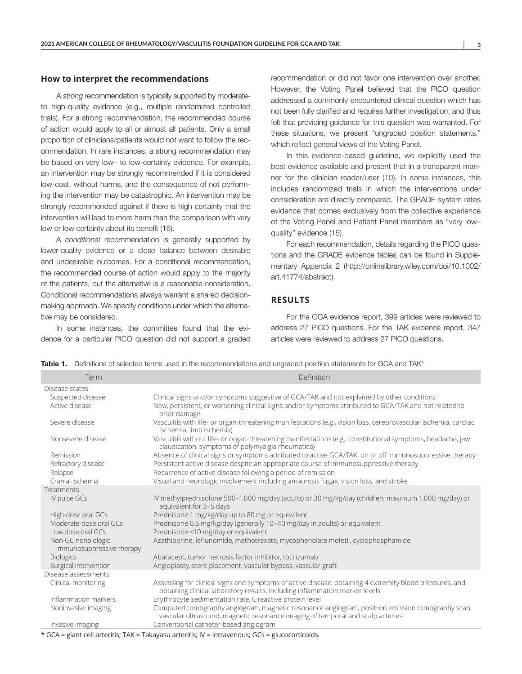#### **How to interpret the recommendations**

A *strong* recommendation is typically supported by moderateto high-quality evidence (e.g., multiple randomized controlled trials). For a strong recommendation, the recommended course of action would apply to all or almost all patients. Only a small proportion of clinicians/patients would not want to follow the recommendation. In rare instances, a strong recommendation may be based on very low– to low-certainty evidence. For example, an intervention may be strongly recommended if it is considered low-cost, without harms, and the consequence of not performing the intervention may be catastrophic. An intervention may be strongly recommended against if there is high certainty that the intervention will lead to more harm than the comparison with very low or low certainty about its benefit (16).

A *conditional* recommendation is generally supported by lower-quality evidence or a close balance between desirable and undesirable outcomes. For a conditional recommendation, the recommended course of action would apply to the majority of the patients, but the alternative is a reasonable consideration. Conditional recommendations always warrant a shared decisionmaking approach. We specify conditions under which the alternative may be considered.

In some instances, the committee found that the evidence for a particular PICO question did not support a graded

recommendation or did not favor one intervention over another. However, the Voting Panel believed that the PICO question addressed a commonly encountered clinical question which has not been fully clarified and requires further investigation, and thus felt that providing guidance for this question was warranted. For these situations, we present "ungraded position statements," which reflect general views of the Voting Panel.

In this evidence-based guideline, we explicitly used the best evidence available and present that in a transparent manner for the clinician reader/user (10). In some instances, this includes randomized trials in which the interventions under consideration are directly compared. The GRADE system rates evidence that comes exclusively from the collective experience of the Voting Panel and Patient Panel members as "very low– quality" evidence (15).

For each recommendation, details regarding the PICO questions and the GRADE evidence tables can be found in Supplementary Appendix 2 ([http://onlinelibrary.wiley.com/doi/10.1002/](http://onlinelibrary.wiley.com/doi/10.1002/art.41774/abstract) [art.41774/abstract\)](http://onlinelibrary.wiley.com/doi/10.1002/art.41774/abstract).

## **RESULTS**

For the GCA evidence report, 399 articles were reviewed to address 27 PICO questions. For the TAK evidence report, 347 articles were reviewed to address 27 PICO questions.

|  |  |  |  | Table 1. Definitions of selected terms used in the recommendations and ungraded position statements for GCA and TAK* |  |  |  |  |  |  |
|--|--|--|--|----------------------------------------------------------------------------------------------------------------------|--|--|--|--|--|--|
|--|--|--|--|----------------------------------------------------------------------------------------------------------------------|--|--|--|--|--|--|

| Term                                            | Definition                                                                                                                                                                             |
|-------------------------------------------------|----------------------------------------------------------------------------------------------------------------------------------------------------------------------------------------|
| Disease states                                  |                                                                                                                                                                                        |
| Suspected disease                               | Clinical signs and/or symptoms suggestive of GCA/TAK and not explained by other conditions                                                                                             |
| Active disease                                  | New, persistent, or worsening clinical signs and/or symptoms attributed to GCA/TAK and not related to<br>prior damage                                                                  |
| Severe disease                                  | Vasculitis with life- or organ-threatening manifestations (e.g., vision loss, cerebrovascular ischemia, cardiac<br>ischemia, limb ischemia)                                            |
| Nonsevere disease                               | Vasculitis without life- or organ-threatening manifestations (e.g., constitutional symptoms, headache, jaw<br>claudication, symptoms of polymyalgia rheumatica)                        |
| Remission                                       | Absence of clinical signs or symptoms attributed to active GCA/TAK, on or off immunosuppressive therapy                                                                                |
| Refractory disease                              | Persistent active disease despite an appropriate course of immunosuppressive therapy                                                                                                   |
| Relapse                                         | Recurrence of active disease following a period of remission                                                                                                                           |
| Cranial ischemia                                | Visual and neurologic involvement including amaurosis fugax, vision loss, and stroke                                                                                                   |
| Treatments                                      |                                                                                                                                                                                        |
| IV pulse GCs                                    | IV methylprednisolone 500-1,000 mg/day (adults) or 30 mg/kg/day (children; maximum 1,000 mg/day) or<br>equivalent for 3-5 days                                                         |
| High-dose oral GCs                              | Prednisone 1 mg/kg/day up to 80 mg or equivalent                                                                                                                                       |
| Moderate-dose oral GCs                          | Prednisone 0.5 mg/kg/day (generally 10-40 mg/day in adults) or equivalent                                                                                                              |
| Low-dose oral GCs                               | Prednisone ≤10 mg/day or equivalent                                                                                                                                                    |
| Non-GC nonbiologic<br>immunosuppressive therapy | Azathioprine, leflunomide, methotrexate, mycophenolate mofetil, cyclophosphamide                                                                                                       |
| <b>Biologics</b>                                | Abatacept, tumor necrosis factor inhibitor, tocilizumab                                                                                                                                |
| Surgical intervention                           | Angioplasty, stent placement, vascular bypass, vascular graft                                                                                                                          |
| Disease assessments                             |                                                                                                                                                                                        |
| Clinical monitoring                             | Assessing for clinical signs and symptoms of active disease, obtaining 4 extremity blood pressures, and<br>obtaining clinical laboratory results, including inflammation marker levels |
| Inflammation markers                            | Erythrocyte sedimentation rate, C-reactive protein level                                                                                                                               |
| Noninvasive imaging                             | Computed tomography angiogram, magnetic resonance angiogram, positron emission tomography scan,<br>vascular ultrasound, magnetic resonance imaging of temporal and scalp arteries      |
| Invasive imaging                                | Conventional catheter-based angiogram                                                                                                                                                  |

\* GCA = giant cell arteritis; TAK = Takayasu arteritis; IV = intravenous; GCs = glucocorticoids.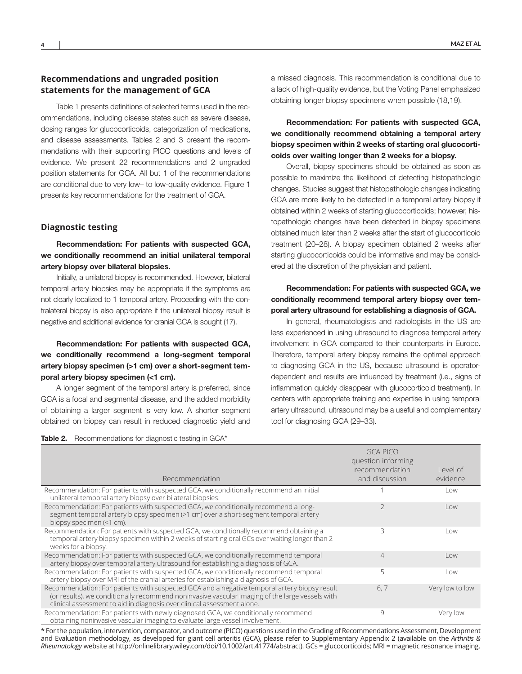## **Recommendations and ungraded position statements for the management of GCA**

Table 1 presents definitions of selected terms used in the recommendations, including disease states such as severe disease, dosing ranges for glucocorticoids, categorization of medications, and disease assessments. Tables 2 and 3 present the recommendations with their supporting PICO questions and levels of evidence. We present 22 recommendations and 2 unaraded position statements for GCA. All but 1 of the recommendations are conditional due to very low– to low-quality evidence. Figure 1 presents key recommendations for the treatment of GCA.

#### **Diagnostic testing**

Recommendation: For patients with suspected GCA, we conditionally recommend an initial unilateral temporal artery biopsy over bilateral biopsies.

Initially, a unilateral biopsy is recommended. However, bilateral temporal artery biopsies may be appropriate if the symptoms are not clearly localized to 1 temporal artery. Proceeding with the contralateral biopsy is also appropriate if the unilateral biopsy result is negative and additional evidence for cranial GCA is sought (17).

# Recommendation: For patients with suspected GCA, we conditionally recommend a long-segment temporal artery biopsy specimen (>1 cm) over a short-segment temporal artery biopsy specimen (<1 cm).

A longer segment of the temporal artery is preferred, since GCA is a focal and segmental disease, and the added morbidity of obtaining a larger segment is very low. A shorter segment obtained on biopsy can result in reduced diagnostic yield and

Table 2. Recommendations for diagnostic testing in GCA\*

a missed diagnosis. This recommendation is conditional due to a lack of high-quality evidence, but the Voting Panel emphasized obtaining longer biopsy specimens when possible (18,19).

## Recommendation: For patients with suspected GCA, we conditionally recommend obtaining a temporal artery biopsy specimen within 2 weeks of starting oral glucocorticoids over waiting longer than 2 weeks for a biopsy.

Overall, biopsy specimens should be obtained as soon as possible to maximize the likelihood of detecting histopathologic changes. Studies suggest that histopathologic changes indicating GCA are more likely to be detected in a temporal artery biopsy if obtained within 2 weeks of starting glucocorticoids; however, histopathologic changes have been detected in biopsy specimens obtained much later than 2 weeks after the start of glucocorticoid treatment (20–28). A biopsy specimen obtained 2 weeks after starting glucocorticoids could be informative and may be considered at the discretion of the physician and patient.

## Recommendation: For patients with suspected GCA, we conditionally recommend temporal artery biopsy over temporal artery ultrasound for establishing a diagnosis of GCA.

In general, rheumatologists and radiologists in the US are less experienced in using ultrasound to diagnose temporal artery involvement in GCA compared to their counterparts in Europe. Therefore, temporal artery biopsy remains the optimal approach to diagnosing GCA in the US, because ultrasound is operatordependent and results are influenced by treatment (i.e., signs of inflammation quickly disappear with glucocorticoid treatment). In centers with appropriate training and expertise in using temporal artery ultrasound, ultrasound may be a useful and complementary tool for diagnosing GCA (29–33).

| Recommendation                                                                                                                                                                                                                                                             | <b>GCA PICO</b><br>question informing<br>recommendation<br>and discussion | Level of<br>evidence    |
|----------------------------------------------------------------------------------------------------------------------------------------------------------------------------------------------------------------------------------------------------------------------------|---------------------------------------------------------------------------|-------------------------|
| Recommendation: For patients with suspected GCA, we conditionally recommend an initial<br>unilateral temporal artery biopsy over bilateral biopsies.                                                                                                                       |                                                                           | Low                     |
| Recommendation: For patients with suspected GCA, we conditionally recommend a long-<br>segment temporal artery biopsy specimen (>1 cm) over a short-segment temporal artery<br>biopsy specimen (<1 cm).                                                                    |                                                                           | Low                     |
| Recommendation: For patients with suspected GCA, we conditionally recommend obtaining a<br>temporal artery biopsy specimen within 2 weeks of starting oral GCs over waiting longer than 2<br>weeks for a biopsy.                                                           | 3                                                                         | Low                     |
| Recommendation: For patients with suspected GCA, we conditionally recommend temporal<br>artery biopsy over temporal artery ultrasound for establishing a diagnosis of GCA.                                                                                                 | $\overline{4}$                                                            | $\overline{\text{low}}$ |
| Recommendation: For patients with suspected GCA, we conditionally recommend temporal<br>artery biopsy over MRI of the cranial arteries for establishing a diagnosis of GCA.                                                                                                | 5                                                                         | Low                     |
| Recommendation: For patients with suspected GCA and a negative temporal artery biopsy result<br>(or results), we conditionally recommend noninvasive vascular imaging of the large vessels with<br>clinical assessment to aid in diagnosis over clinical assessment alone. | 6,7                                                                       | Very low to low         |
| Recommendation: For patients with newly diagnosed GCA, we conditionally recommend<br>obtaining noninvasive vascular imaging to evaluate large vessel involvement.                                                                                                          | 9                                                                         | Very low                |

\* For the population, intervention, comparator, and outcome (PICO) questions used in the Grading of Recommendations Assessment, Development and Evaluation methodology, as developed for giant cell arteritis (GCA), please refer to Supplementary Appendix 2 (available on the *Arthritis & Rheumatology* website at [http://onlinelibrary.wiley.com/doi/10.1002/art.41774/abstract\)](http://onlinelibrary.wiley.com/doi/10.1002/art.41774/abstract). GCs = glucocorticoids; MRI = magnetic resonance imaging.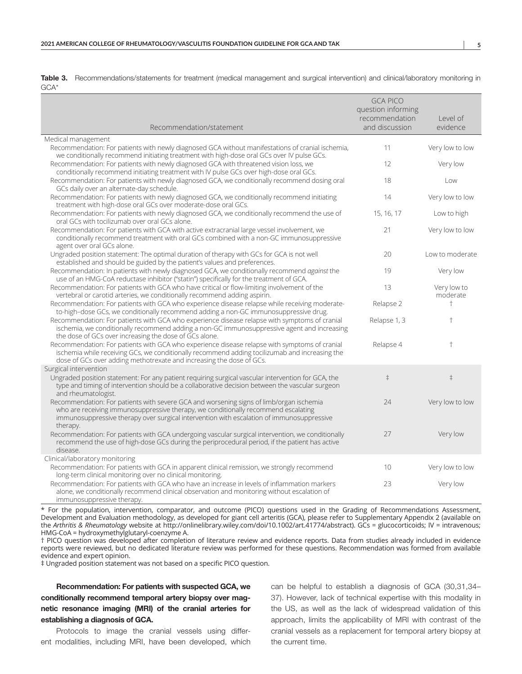|      | Table 3. Recommendations/statements for treatment (medical management and surgical intervention) and clinical/laboratory monitoring in |  |  |  |  |
|------|----------------------------------------------------------------------------------------------------------------------------------------|--|--|--|--|
| GCA* |                                                                                                                                        |  |  |  |  |

|                                                                                                                                                                                                                                                                                        | <b>GCA PICO</b><br>question informing<br>recommendation | Level of                |
|----------------------------------------------------------------------------------------------------------------------------------------------------------------------------------------------------------------------------------------------------------------------------------------|---------------------------------------------------------|-------------------------|
| Recommendation/statement                                                                                                                                                                                                                                                               | and discussion                                          | evidence                |
| Medical management                                                                                                                                                                                                                                                                     |                                                         |                         |
| Recommendation: For patients with newly diagnosed GCA without manifestations of cranial ischemia,<br>we conditionally recommend initiating treatment with high-dose oral GCs over IV pulse GCs.                                                                                        | 11                                                      | Very low to low         |
| Recommendation: For patients with newly diagnosed GCA with threatened vision loss, we<br>conditionally recommend initiating treatment with IV pulse GCs over high-dose oral GCs.                                                                                                       | 12                                                      | Very low                |
| Recommendation: For patients with newly diagnosed GCA, we conditionally recommend dosing oral<br>GCs daily over an alternate-day schedule.                                                                                                                                             | 18                                                      | Low                     |
| Recommendation: For patients with newly diagnosed GCA, we conditionally recommend initiating<br>treatment with high-dose oral GCs over moderate-dose oral GCs.                                                                                                                         | 14                                                      | Very low to low         |
| Recommendation: For patients with newly diagnosed GCA, we conditionally recommend the use of<br>oral GCs with tocilizumab over oral GCs alone.                                                                                                                                         | 15, 16, 17                                              | Low to high             |
| Recommendation: For patients with GCA with active extracranial large vessel involvement, we<br>conditionally recommend treatment with oral GCs combined with a non-GC immunosuppressive<br>agent over oral GCs alone.                                                                  | 21                                                      | Very low to low         |
| Ungraded position statement: The optimal duration of therapy with GCs for GCA is not well<br>established and should be guided by the patient's values and preferences.                                                                                                                 | 20                                                      | Low to moderate         |
| Recommendation: In patients with newly diagnosed GCA, we conditionally recommend against the<br>use of an HMG-CoA reductase inhibitor ("statin") specifically for the treatment of GCA.                                                                                                | 19                                                      | Very low                |
| Recommendation: For patients with GCA who have critical or flow-limiting involvement of the<br>vertebral or carotid arteries, we conditionally recommend adding aspirin.                                                                                                               | 13                                                      | Very low to<br>moderate |
| Recommendation: For patients with GCA who experience disease relapse while receiving moderate-<br>to-high-dose GCs, we conditionally recommend adding a non-GC immunosuppressive drug.                                                                                                 | Relapse 2                                               | $\ddagger$              |
| Recommendation: For patients with GCA who experience disease relapse with symptoms of cranial<br>ischemia, we conditionally recommend adding a non-GC immunosuppressive agent and increasing<br>the dose of GCs over increasing the dose of GCs alone.                                 | Relapse 1, 3                                            | $\ddagger$              |
| Recommendation: For patients with GCA who experience disease relapse with symptoms of cranial<br>ischemia while receiving GCs, we conditionally recommend adding tocilizumab and increasing the<br>dose of GCs over adding methotrexate and increasing the dose of GCs.                | Relapse 4                                               | $\ddagger$              |
| Surgical intervention                                                                                                                                                                                                                                                                  |                                                         |                         |
| Ungraded position statement: For any patient requiring surgical vascular intervention for GCA, the<br>type and timing of intervention should be a collaborative decision between the vascular surgeon<br>and rheumatologist.                                                           | $\ddagger$                                              | $\ddagger$              |
| Recommendation: For patients with severe GCA and worsening signs of limb/organ ischemia<br>who are receiving immunosuppressive therapy, we conditionally recommend escalating<br>immunosuppressive therapy over surgical intervention with escalation of immunosuppressive<br>therapy. | 24                                                      | Very low to low         |
| Recommendation: For patients with GCA undergoing vascular surgical intervention, we conditionally<br>recommend the use of high-dose GCs during the periprocedural period, if the patient has active<br>disease.                                                                        | 27                                                      | Very low                |
| Clinical/laboratory monitoring                                                                                                                                                                                                                                                         |                                                         |                         |
| Recommendation: For patients with GCA in apparent clinical remission, we strongly recommend<br>long-term clinical monitoring over no clinical monitoring.                                                                                                                              | 10                                                      | Very low to low         |
| Recommendation: For patients with GCA who have an increase in levels of inflammation markers<br>alone, we conditionally recommend clinical observation and monitoring without escalation of<br>immunosuppressive therapy.                                                              | 23                                                      | Very low                |

\* For the population, intervention, comparator, and outcome (PICO) questions used in the Grading of Recommendations Assessment, Development and Evaluation methodology, as developed for giant cell arteritis (GCA), please refer to Supplementary Appendix 2 (available on the *Arthritis & Rheumatology* website at [http://onlinelibrary.wiley.com/doi/10.1002/art.41774/abstract\)](http://onlinelibrary.wiley.com/doi/10.1002/art.41774/abstract). GCs = glucocorticoids; IV = intravenous; HMG-CoA = hydroxymethylglutaryl-coenzyme A.

† PICO question was developed after completion of literature review and evidence reports. Data from studies already included in evidence reports were reviewed, but no dedicated literature review was performed for these questions. Recommendation was formed from available evidence and expert opinion.

‡ Ungraded position statement was not based on a specific PICO question.

# Recommendation: For patients with suspected GCA, we conditionally recommend temporal artery biopsy over magnetic resonance imaging (MRI) of the cranial arteries for establishing a diagnosis of GCA.

Protocols to image the cranial vessels using different modalities, including MRI, have been developed, which can be helpful to establish a diagnosis of GCA (30,31,34– 37). However, lack of technical expertise with this modality in the US, as well as the lack of widespread validation of this approach, limits the applicability of MRI with contrast of the cranial vessels as a replacement for temporal artery biopsy at the current time.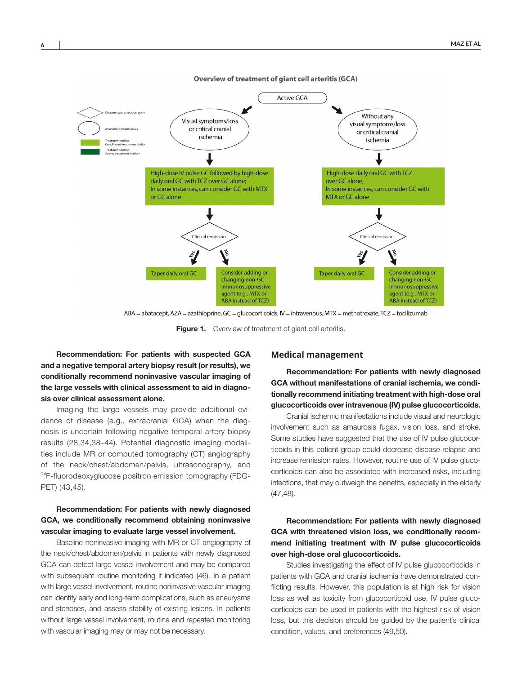

**Overview of treatment of giant cell arteritis (GCA)** 

ABA = abatacept, AZA = azathioprine, GC = glucocorticoids, IV = intravenous, MTX = methotrexate, TCZ = tocilizumab

Figure 1. Overview of treatment of giant cell arteritis.

Recommendation: For patients with suspected GCA and a negative temporal artery biopsy result (or results), we conditionally recommend noninvasive vascular imaging of the large vessels with clinical assessment to aid in diagnosis over clinical assessment alone.

Imaging the large vessels may provide additional evidence of disease (e.g., extracranial GCA) when the diagnosis is uncertain following negative temporal artery biopsy results (28,34,38–44). Potential diagnostic imaging modalities include MR or computed tomography (CT) angiography of the neck/chest/abdomen/pelvis, ultrasonography, and <sup>18</sup>F-fluorodeoxyglucose positron emission tomography (FDG-PET) (43,45).

## Recommendation: For patients with newly diagnosed GCA, we conditionally recommend obtaining noninvasive vascular imaging to evaluate large vessel involvement.

Baseline noninvasive imaging with MR or CT angiography of the neck/chest/abdomen/pelvis in patients with newly diagnosed GCA can detect large vessel involvement and may be compared with subsequent routine monitoring if indicated (46). In a patient with large vessel involvement, routine noninvasive vascular imaging can identify early and long-term complications, such as aneurysms and stenoses, and assess stability of existing lesions. In patients without large vessel involvement, routine and repeated monitoring with vascular imaging may or may not be necessary.

#### **Medical management**

Recommendation: For patients with newly diagnosed GCA without manifestations of cranial ischemia, we conditionally recommend initiating treatment with high-dose oral glucocorticoids over intravenous (IV) pulse glucocorticoids.

Cranial ischemic manifestations include visual and neurologic involvement such as amaurosis fugax, vision loss, and stroke. Some studies have suggested that the use of IV pulse glucocorticoids in this patient group could decrease disease relapse and increase remission rates. However, routine use of IV pulse glucocorticoids can also be associated with increased risks, including infections, that may outweigh the benefits, especially in the elderly (47,48).

# Recommendation: For patients with newly diagnosed GCA with threatened vision loss, we conditionally recommend initiating treatment with IV pulse glucocorticoids over high-dose oral glucocorticoids.

Studies investigating the effect of IV pulse glucocorticoids in patients with GCA and cranial ischemia have demonstrated conflicting results. However, this population is at high risk for vision loss as well as toxicity from glucocorticoid use. IV pulse glucocorticoids can be used in patients with the highest risk of vision loss, but this decision should be guided by the patient's clinical condition, values, and preferences (49,50).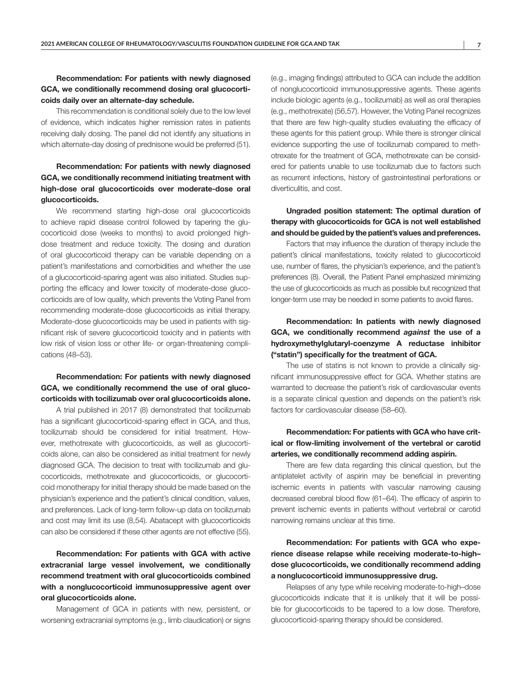#### Recommendation: For patients with newly diagnosed GCA, we conditionally recommend dosing oral glucocorticoids daily over an alternate-day schedule.

This recommendation is conditional solely due to the low level of evidence, which indicates higher remission rates in patients receiving daily dosing. The panel did not identify any situations in which alternate-day dosing of prednisone would be preferred (51).

# Recommendation: For patients with newly diagnosed GCA, we conditionally recommend initiating treatment with high-dose oral glucocorticoids over moderate-dose oral glucocorticoids.

We recommend starting high-dose oral glucocorticoids to achieve rapid disease control followed by tapering the glucocorticoid dose (weeks to months) to avoid prolonged highdose treatment and reduce toxicity. The dosing and duration of oral glucocorticoid therapy can be variable depending on a patient's manifestations and comorbidities and whether the use of a glucocorticoid-sparing agent was also initiated. Studies supporting the efficacy and lower toxicity of moderate-dose glucocorticoids are of low quality, which prevents the Voting Panel from recommending moderate-dose glucocorticoids as initial therapy. Moderate-dose glucocorticoids may be used in patients with significant risk of severe glucocorticoid toxicity and in patients with low risk of vision loss or other life- or organ-threatening complications (48–53).

#### Recommendation: For patients with newly diagnosed GCA, we conditionally recommend the use of oral glucocorticoids with tocilizumab over oral glucocorticoids alone.

A trial published in 2017 (8) demonstrated that tocilizumab has a significant glucocorticoid-sparing effect in GCA, and thus, tocilizumab should be considered for initial treatment. However, methotrexate with glucocorticoids, as well as glucocorticoids alone, can also be considered as initial treatment for newly diagnosed GCA. The decision to treat with tocilizumab and glucocorticoids, methotrexate and glucocorticoids, or glucocorticoid monotherapy for initial therapy should be made based on the physician's experience and the patient's clinical condition, values, and preferences. Lack of long-term follow-up data on tocilizumab and cost may limit its use (8,54). Abatacept with glucocorticoids can also be considered if these other agents are not effective (55).

Recommendation: For patients with GCA with active extracranial large vessel involvement, we conditionally recommend treatment with oral glucocorticoids combined with a nonglucocorticoid immunosuppressive agent over oral glucocorticoids alone.

Management of GCA in patients with new, persistent, or worsening extracranial symptoms (e.g., limb claudication) or signs

(e.g., imaging findings) attributed to GCA can include the addition of nonglucocorticoid immunosuppressive agents. These agents include biologic agents (e.g., tocilizumab) as well as oral therapies (e.g., methotrexate) (56,57). However, the Voting Panel recognizes that there are few high-quality studies evaluating the efficacy of these agents for this patient group. While there is stronger clinical evidence supporting the use of tocilizumab compared to methotrexate for the treatment of GCA, methotrexate can be considered for patients unable to use tocilizumab due to factors such as recurrent infections, history of gastrointestinal perforations or diverticulitis, and cost.

#### Ungraded position statement: The optimal duration of therapy with glucocorticoids for GCA is not well established and should be guided by the patient's values and preferences.

Factors that may influence the duration of therapy include the patient's clinical manifestations, toxicity related to glucocorticoid use, number of flares, the physician's experience, and the patient's preferences (8). Overall, the Patient Panel emphasized minimizing the use of glucocorticoids as much as possible but recognized that longer-term use may be needed in some patients to avoid flares.

## Recommendation: In patients with newly diagnosed GCA, we conditionally recommend *against* the use of a hydroxymethylglutaryl-coenzyme A reductase inhibitor ("statin") specifically for the treatment of GCA.

The use of statins is not known to provide a clinically significant immunosuppressive effect for GCA. Whether statins are warranted to decrease the patient's risk of cardiovascular events is a separate clinical question and depends on the patient's risk factors for cardiovascular disease (58–60).

# Recommendation: For patients with GCA who have critical or flow-limiting involvement of the vertebral or carotid arteries, we conditionally recommend adding aspirin.

There are few data regarding this clinical question, but the antiplatelet activity of aspirin may be beneficial in preventing ischemic events in patients with vascular narrowing causing decreased cerebral blood flow (61–64). The efficacy of aspirin to prevent ischemic events in patients without vertebral or carotid narrowing remains unclear at this time.

Recommendation: For patients with GCA who experience disease relapse while receiving moderate-to-high– dose glucocorticoids, we conditionally recommend adding a nonglucocorticoid immunosuppressive drug.

Relapses of any type while receiving moderate-to-high–dose glucocorticoids indicate that it is unlikely that it will be possible for glucocorticoids to be tapered to a low dose. Therefore, glucocorticoid-sparing therapy should be considered.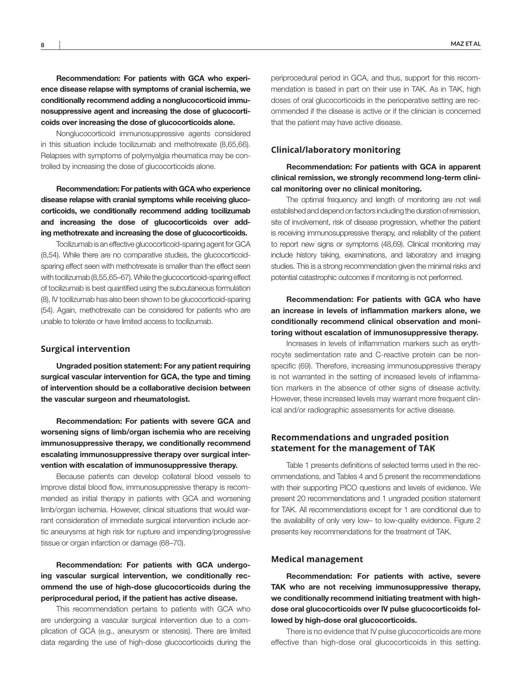Recommendation: For patients with GCA who experience disease relapse with symptoms of cranial ischemia, we conditionally recommend adding a nonglucocorticoid immunosuppressive agent and increasing the dose of glucocorticoids over increasing the dose of glucocorticoids alone.

Nonglucocorticoid immunosuppressive agents considered in this situation include tocilizumab and methotrexate (8,65,66). Relapses with symptoms of polymyalgia rheumatica may be controlled by increasing the dose of glucocorticoids alone.

Recommendation: For patients with GCA who experience disease relapse with cranial symptoms while receiving glucocorticoids, we conditionally recommend adding tocilizumab and increasing the dose of glucocorticoids over adding methotrexate and increasing the dose of glucocorticoids.

Tocilizumab is an effective glucocorticoid-sparing agent for GCA (8,54). While there are no comparative studies, the glucocorticoidsparing effect seen with methotrexate is smaller than the effect seen with tocilizumab (8,55,65–67). While the glucocorticoid-sparing effect of tocilizumab is best quantified using the subcutaneous formulation (8), IV tocilizumab has also been shown to be glucocorticoid-sparing (54). Again, methotrexate can be considered for patients who are unable to tolerate or have limited access to tocilizumab.

## **Surgical intervention**

Ungraded position statement: For any patient requiring surgical vascular intervention for GCA, the type and timing of intervention should be a collaborative decision between the vascular surgeon and rheumatologist.

Recommendation: For patients with severe GCA and worsening signs of limb/organ ischemia who are receiving immunosuppressive therapy, we conditionally recommend escalating immunosuppressive therapy over surgical intervention with escalation of immunosuppressive therapy.

Because patients can develop collateral blood vessels to improve distal blood flow, immunosuppressive therapy is recommended as initial therapy in patients with GCA and worsening limb/organ ischemia. However, clinical situations that would warrant consideration of immediate surgical intervention include aortic aneurysms at high risk for rupture and impending/progressive tissue or organ infarction or damage (68–70).

# Recommendation: For patients with GCA undergoing vascular surgical intervention, we conditionally recommend the use of high-dose glucocorticoids during the periprocedural period, if the patient has active disease.

This recommendation pertains to patients with GCA who are undergoing a vascular surgical intervention due to a complication of GCA (e.g., aneurysm or stenosis). There are limited data regarding the use of high-dose glucocorticoids during the

periprocedural period in GCA, and thus, support for this recommendation is based in part on their use in TAK. As in TAK, high doses of oral glucocorticoids in the perioperative setting are recommended if the disease is active or if the clinician is concerned that the patient may have active disease.

#### **Clinical/laboratory monitoring**

Recommendation: For patients with GCA in apparent clinical remission, we strongly recommend long-term clinical monitoring over no clinical monitoring.

The optimal frequency and length of monitoring are not well established and depend on factors including the duration of remission, site of involvement, risk of disease progression, whether the patient is receiving immunosuppressive therapy, and reliability of the patient to report new signs or symptoms (48,69). Clinical monitoring may include history taking, examinations, and laboratory and imaging studies. This is a strong recommendation given the minimal risks and potential catastrophic outcomes if monitoring is not performed.

# Recommendation: For patients with GCA who have an increase in levels of inflammation markers alone, we conditionally recommend clinical observation and monitoring without escalation of immunosuppressive therapy.

Increases in levels of inflammation markers such as erythrocyte sedimentation rate and C-reactive protein can be nonspecific (69). Therefore, increasing immunosuppressive therapy is not warranted in the setting of increased levels of inflammation markers in the absence of other signs of disease activity. However, these increased levels may warrant more frequent clinical and/or radiographic assessments for active disease.

#### **Recommendations and ungraded position statement for the management of TAK**

Table 1 presents definitions of selected terms used in the recommendations, and Tables 4 and 5 present the recommendations with their supporting PICO questions and levels of evidence. We present 20 recommendations and 1 ungraded position statement for TAK. All recommendations except for 1 are conditional due to the availability of only very low– to low-quality evidence. Figure 2 presents key recommendations for the treatment of TAK.

#### **Medical management**

Recommendation: For patients with active, severe TAK who are not receiving immunosuppressive therapy, we conditionally recommend initiating treatment with highdose oral glucocorticoids over IV pulse glucocorticoids followed by high-dose oral glucocorticoids.

There is no evidence that IV pulse glucocorticoids are more effective than high-dose oral glucocorticoids in this setting.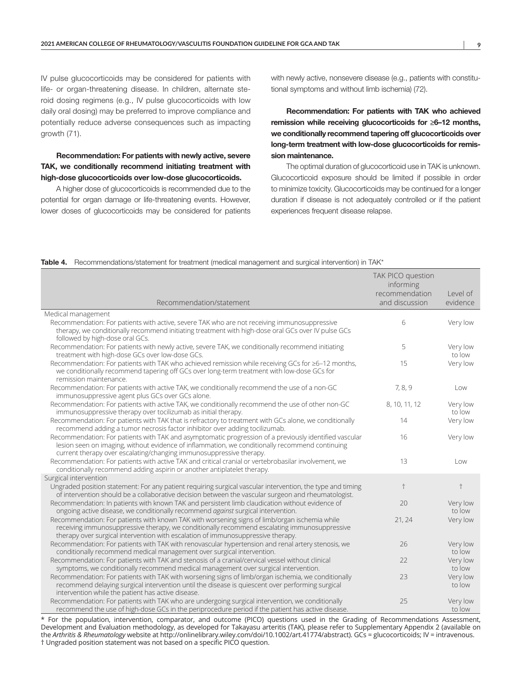IV pulse glucocorticoids may be considered for patients with life- or organ-threatening disease. In children, alternate steroid dosing regimens (e.g., IV pulse glucocorticoids with low daily oral dosing) may be preferred to improve compliance and potentially reduce adverse consequences such as impacting growth (71).

# Recommendation: For patients with newly active, severe TAK, we conditionally recommend initiating treatment with high-dose glucocorticoids over low-dose glucocorticoids.

A higher dose of glucocorticoids is recommended due to the potential for organ damage or life-threatening events. However, lower doses of glucocorticoids may be considered for patients with newly active, nonsevere disease (e.g., patients with constitutional symptoms and without limb ischemia) (72).

Recommendation: For patients with TAK who achieved remission while receiving glucocorticoids for ≥6–12 months, we conditionally recommend tapering off glucocorticoids over long-term treatment with low-dose glucocorticoids for remission maintenance.

The optimal duration of glucocorticoid use in TAK is unknown. Glucocorticoid exposure should be limited if possible in order to minimize toxicity. Glucocorticoids may be continued for a longer duration if disease is not adequately controlled or if the patient experiences frequent disease relapse.

#### Table 4. Recommendations/statement for treatment (medical management and surgical intervention) in TAK\*

|                                                                                                                                                                                                                                                                                   | TAK PICO question<br>informing |                         |
|-----------------------------------------------------------------------------------------------------------------------------------------------------------------------------------------------------------------------------------------------------------------------------------|--------------------------------|-------------------------|
|                                                                                                                                                                                                                                                                                   | recommendation                 | Level of                |
| Recommendation/statement                                                                                                                                                                                                                                                          | and discussion                 | evidence                |
| Medical management                                                                                                                                                                                                                                                                |                                |                         |
| Recommendation: For patients with active, severe TAK who are not receiving immunosuppressive<br>therapy, we conditionally recommend initiating treatment with high-dose oral GCs over IV pulse GCs<br>followed by high-dose oral GCs.                                             | 6                              | Very low                |
| Recommendation: For patients with newly active, severe TAK, we conditionally recommend initiating<br>treatment with high-dose GCs over low-dose GCs.                                                                                                                              | 5                              | Very low<br>to low      |
| Recommendation: For patients with TAK who achieved remission while receiving GCs for ≥6-12 months,<br>we conditionally recommend tapering off GCs over long-term treatment with low-dose GCs for<br>remission maintenance.                                                        | 15                             | Very low                |
| Recommendation: For patients with active TAK, we conditionally recommend the use of a non-GC<br>immunosuppressive agent plus GCs over GCs alone.                                                                                                                                  | 7, 8, 9                        | Low                     |
| Recommendation: For patients with active TAK, we conditionally recommend the use of other non-GC<br>immunosuppressive therapy over tocilizumab as initial therapy.                                                                                                                | 8, 10, 11, 12                  | Very low<br>to low      |
| Recommendation: For patients with TAK that is refractory to treatment with GCs alone, we conditionally<br>recommend adding a tumor necrosis factor inhibitor over adding tocilizumab.                                                                                             | 14                             | Very low                |
| Recommendation: For patients with TAK and asymptomatic progression of a previously identified vascular<br>lesion seen on imaging, without evidence of inflammation, we conditionally recommend continuing<br>current therapy over escalating/changing immunosuppressive therapy.  | 16                             | Very low                |
| Recommendation: For patients with active TAK and critical cranial or vertebrobasilar involvement, we<br>conditionally recommend adding aspirin or another antiplatelet therapy.                                                                                                   | 13                             | $\overline{\text{low}}$ |
| Surgical intervention                                                                                                                                                                                                                                                             |                                |                         |
| Ungraded position statement: For any patient requiring surgical vascular intervention, the type and timing<br>of intervention should be a collaborative decision between the vascular surgeon and rheumatologist.                                                                 | $\ddagger$                     | $\ddagger$              |
| Recommendation: In patients with known TAK and persistent limb claudication without evidence of<br>ongoing active disease, we conditionally recommend against surgical intervention.                                                                                              | 20                             | Very low<br>to low      |
| Recommendation: For patients with known TAK with worsening signs of limb/organ ischemia while<br>receiving immunosuppressive therapy, we conditionally recommend escalating immunosuppressive<br>therapy over surgical intervention with escalation of immunosuppressive therapy. | 21, 24                         | Very low                |
| Recommendation: For patients with TAK with renovascular hypertension and renal artery stenosis, we<br>conditionally recommend medical management over surgical intervention.                                                                                                      | 26                             | Very low<br>to low      |
| Recommendation: For patients with TAK and stenosis of a cranial/cervical vessel without clinical<br>symptoms, we conditionally recommend medical management over surgical intervention.                                                                                           | 22                             | Very low<br>to low      |
| Recommendation: For patients with TAK with worsening signs of limb/organ ischemia, we conditionally<br>recommend delaying surgical intervention until the disease is quiescent over performing surgical<br>intervention while the patient has active disease.                     | 23                             | Very low<br>to low      |
| Recommendation: For patients with TAK who are undergoing surgical intervention, we conditionally<br>recommend the use of high-dose GCs in the periprocedure period if the patient has active disease.                                                                             | 25                             | Very low<br>to low      |

For the population, intervention, comparator, and outcome (PICO) questions used in the Grading of Recommendations Assessment, Development and Evaluation methodology, as developed for Takayasu arteritis (TAK), please refer to Supplementary Appendix 2 (available on the *Arthritis & Rheumatology* website at<http://onlinelibrary.wiley.com/doi/10.1002/art.41774/abstract>). GCs = glucocorticoids; IV = intravenous. † Ungraded position statement was not based on a specific PICO question.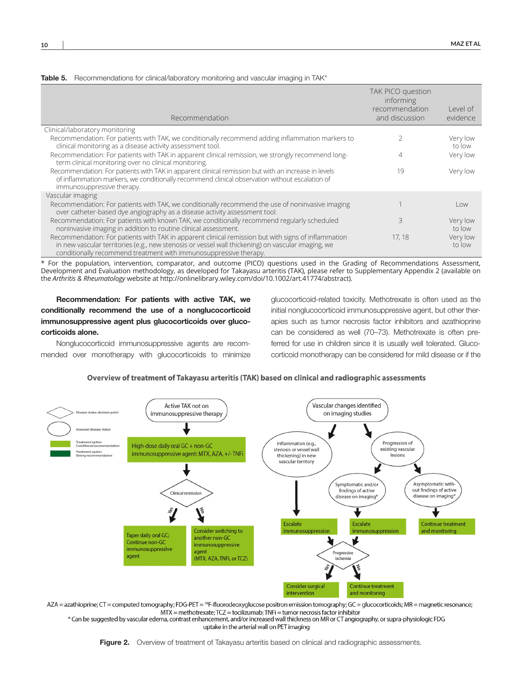|  |  |  | <b>Table 5.</b> Recommendations for clinical/laboratory monitoring and vascular imaging in TAK* |  |
|--|--|--|-------------------------------------------------------------------------------------------------|--|

| Recommendation                                                                                                                                                                                                                                                                 | TAK PICO question<br>informing<br>recommendation<br>and discussion | Level of<br>evidence |
|--------------------------------------------------------------------------------------------------------------------------------------------------------------------------------------------------------------------------------------------------------------------------------|--------------------------------------------------------------------|----------------------|
| Clinical/laboratory monitoring<br>Recommendation: For patients with TAK, we conditionally recommend adding inflammation markers to                                                                                                                                             |                                                                    | Very low             |
| clinical monitoring as a disease activity assessment tool.                                                                                                                                                                                                                     |                                                                    | to low               |
| Recommendation: For patients with TAK in apparent clinical remission, we strongly recommend long-<br>term clinical monitoring over no clinical monitoring.                                                                                                                     | 4                                                                  | Very low             |
| Recommendation: For patients with TAK in apparent clinical remission but with an increase in levels<br>of inflammation markers, we conditionally recommend clinical observation without escalation of<br>immunosuppressive therapy.                                            | 19                                                                 | Very low             |
| Vascular imaging                                                                                                                                                                                                                                                               |                                                                    |                      |
| Recommendation: For patients with TAK, we conditionally recommend the use of noninvasive imaging<br>over catheter-based dye angiography as a disease activity assessment tool.                                                                                                 |                                                                    | Low                  |
| Recommendation: For patients with known TAK, we conditionally recommend regularly scheduled<br>noninvasive imaging in addition to routine clinical assessment.                                                                                                                 | 3                                                                  | Very low<br>to low   |
| Recommendation: For patients with TAK in apparent clinical remission but with signs of inflammation<br>in new vascular territories (e.g., new stenosis or vessel wall thickening) on vascular imaging, we<br>conditionally recommend treatment with immunosuppressive therapy. | 17, 18                                                             | Very low<br>to low   |

\* For the population, intervention, comparator, and outcome (PICO) questions used in the Grading of Recommendations Assessment, Development and Evaluation methodology, as developed for Takayasu arteritis (TAK), please refer to Supplementary Appendix 2 (available on the *Arthritis & Rheumatology* website at<http://onlinelibrary.wiley.com/doi/10.1002/art.41774/abstract>).

Recommendation: For patients with active TAK, we conditionally recommend the use of a nonglucocorticoid immunosuppressive agent plus glucocorticoids over glucocorticoids alone.

Nonglucocorticoid immunosuppressive agents are recommended over monotherapy with glucocorticoids to minimize

glucocorticoid-related toxicity. Methotrexate is often used as the initial nonglucocorticoid immunosuppressive agent, but other therapies such as tumor necrosis factor inhibitors and azathioprine can be considered as well (70–73). Methotrexate is often preferred for use in children since it is usually well tolerated. Glucocorticoid monotherapy can be considered for mild disease or if the

Overview of treatment of Takayasu arteritis (TAK) based on clinical and radiographic assessments



AZA = azathioprine; CT = computed tomography; FDG-PET = <sup>18</sup>F-fluorodeoxyglucose positron emission tomography; GC = glucocorticoids; MR = magnetic resonance; MTX = methotrexate; TCZ = tocilizumab; TNFi = tumor necrosis factor inhibitor

\* Can be suggested by vascular edema, contrast enhancement, and/or increased wall thickness on MR or CT angiography, or supra-physiologic FDG uptake in the arterial wall on PET imaging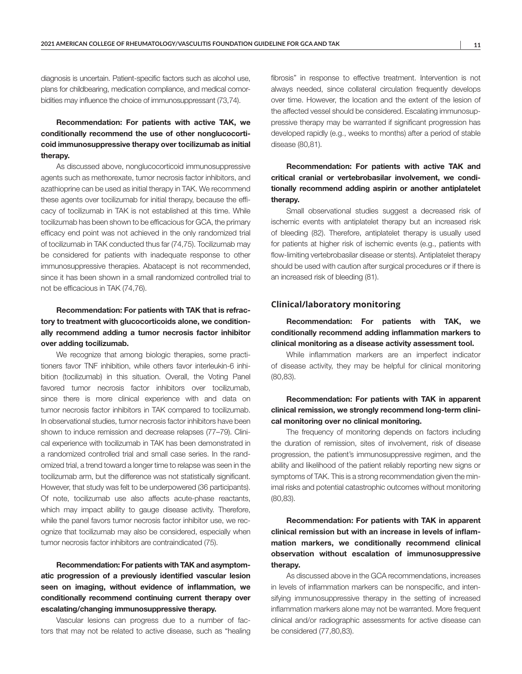diagnosis is uncertain. Patient-specific factors such as alcohol use, plans for childbearing, medication compliance, and medical comorbidities may influence the choice of immunosuppressant (73,74).

# Recommendation: For patients with active TAK, we conditionally recommend the use of other nonglucocorticoid immunosuppressive therapy over tocilizumab as initial therapy.

As discussed above, nonglucocorticoid immunosuppressive agents such as methorexate, tumor necrosis factor inhibitors, and azathioprine can be used as initial therapy in TAK. We recommend these agents over tocilizumab for initial therapy, because the efficacy of tocilizumab in TAK is not established at this time. While tocilizumab has been shown to be efficacious for GCA, the primary efficacy end point was not achieved in the only randomized trial of tocilizumab in TAK conducted thus far (74,75). Tocilizumab may be considered for patients with inadequate response to other immunosuppressive therapies. Abatacept is not recommended, since it has been shown in a small randomized controlled trial to not be efficacious in TAK (74,76).

## Recommendation: For patients with TAK that is refractory to treatment with glucocorticoids alone, we conditionally recommend adding a tumor necrosis factor inhibitor over adding tocilizumab.

We recognize that among biologic therapies, some practitioners favor TNF inhibition, while others favor interleukin-6 inhibition (tocilizumab) in this situation. Overall, the Voting Panel favored tumor necrosis factor inhibitors over tocilizumab, since there is more clinical experience with and data on tumor necrosis factor inhibitors in TAK compared to tocilizumab. In observational studies, tumor necrosis factor inhibitors have been shown to induce remission and decrease relapses (77–79). Clinical experience with tocilizumab in TAK has been demonstrated in a randomized controlled trial and small case series. In the randomized trial, a trend toward a longer time to relapse was seen in the tocilizumab arm, but the difference was not statistically significant. However, that study was felt to be underpowered (36 participants). Of note, tocilizumab use also affects acute-phase reactants, which may impact ability to gauge disease activity. Therefore, while the panel favors tumor necrosis factor inhibitor use, we recognize that tocilizumab may also be considered, especially when tumor necrosis factor inhibitors are contraindicated (75).

# Recommendation: For patients with TAK and asymptomatic progression of a previously identified vascular lesion seen on imaging, without evidence of inflammation, we conditionally recommend continuing current therapy over escalating/changing immunosuppressive therapy.

Vascular lesions can progress due to a number of factors that may not be related to active disease, such as "healing

fibrosis" in response to effective treatment. Intervention is not always needed, since collateral circulation frequently develops over time. However, the location and the extent of the lesion of the affected vessel should be considered. Escalating immunosuppressive therapy may be warranted if significant progression has developed rapidly (e.g., weeks to months) after a period of stable disease (80,81).

# Recommendation: For patients with active TAK and critical cranial or vertebrobasilar involvement, we conditionally recommend adding aspirin or another antiplatelet therapy.

Small observational studies suggest a decreased risk of ischemic events with antiplatelet therapy but an increased risk of bleeding (82). Therefore, antiplatelet therapy is usually used for patients at higher risk of ischemic events (e.g., patients with flow-limiting vertebrobasilar disease or stents). Antiplatelet therapy should be used with caution after surgical procedures or if there is an increased risk of bleeding (81).

#### **Clinical/laboratory monitoring**

Recommendation: For patients with TAK, we conditionally recommend adding inflammation markers to clinical monitoring as a disease activity assessment tool.

While inflammation markers are an imperfect indicator of disease activity, they may be helpful for clinical monitoring (80,83).

## Recommendation: For patients with TAK in apparent clinical remission, we strongly recommend long-term clinical monitoring over no clinical monitoring.

The frequency of monitoring depends on factors including the duration of remission, sites of involvement, risk of disease progression, the patient's immunosuppressive regimen, and the ability and likelihood of the patient reliably reporting new signs or symptoms of TAK. This is a strong recommendation given the minimal risks and potential catastrophic outcomes without monitoring (80,83).

# Recommendation: For patients with TAK in apparent clinical remission but with an increase in levels of inflammation markers, we conditionally recommend clinical observation without escalation of immunosuppressive therapy.

As discussed above in the GCA recommendations, increases in levels of inflammation markers can be nonspecific, and intensifying immunosuppressive therapy in the setting of increased inflammation markers alone may not be warranted. More frequent clinical and/or radiographic assessments for active disease can be considered (77,80,83).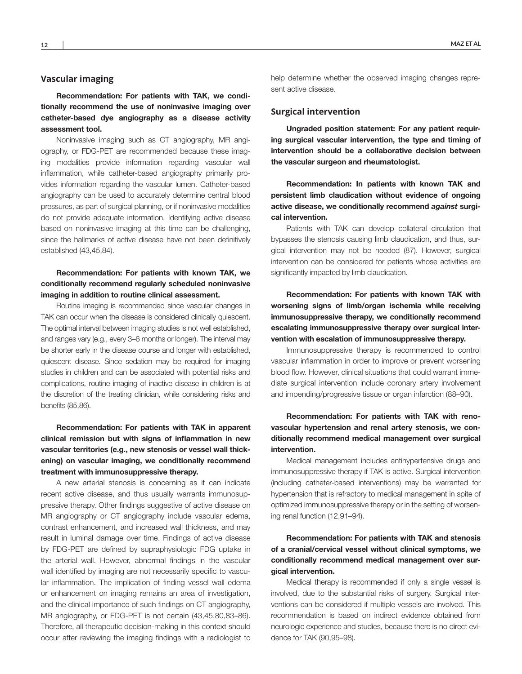#### **Vascular imaging**

Recommendation: For patients with TAK, we conditionally recommend the use of noninvasive imaging over catheter-based dye angiography as a disease activity assessment tool.

Noninvasive imaging such as CT angiography, MR angiography, or FDG-PET are recommended because these imaging modalities provide information regarding vascular wall inflammation, while catheter-based angiography primarily provides information regarding the vascular lumen. Catheter-based angiography can be used to accurately determine central blood pressures, as part of surgical planning, or if noninvasive modalities do not provide adequate information. Identifying active disease based on noninvasive imaging at this time can be challenging, since the hallmarks of active disease have not been definitively established (43,45,84).

#### Recommendation: For patients with known TAK, we conditionally recommend regularly scheduled noninvasive imaging in addition to routine clinical assessment.

Routine imaging is recommended since vascular changes in TAK can occur when the disease is considered clinically quiescent. The optimal interval between imaging studies is not well established, and ranges vary (e.g., every 3–6 months or longer). The interval may be shorter early in the disease course and longer with established, quiescent disease. Since sedation may be required for imaging studies in children and can be associated with potential risks and complications, routine imaging of inactive disease in children is at the discretion of the treating clinician, while considering risks and benefits (85,86).

Recommendation: For patients with TAK in apparent clinical remission but with signs of inflammation in new vascular territories (e.g., new stenosis or vessel wall thickening) on vascular imaging, we conditionally recommend treatment with immunosuppressive therapy.

A new arterial stenosis is concerning as it can indicate recent active disease, and thus usually warrants immunosuppressive therapy. Other findings suggestive of active disease on MR angiography or CT angiography include vascular edema, contrast enhancement, and increased wall thickness, and may result in luminal damage over time. Findings of active disease by FDG-PET are defined by supraphysiologic FDG uptake in the arterial wall. However, abnormal findings in the vascular wall identified by imaging are not necessarily specific to vascular inflammation. The implication of finding vessel wall edema or enhancement on imaging remains an area of investigation, and the clinical importance of such findings on CT angiography, MR angiography, or FDG-PET is not certain (43,45,80,83–86). Therefore, all therapeutic decision-making in this context should occur after reviewing the imaging findings with a radiologist to

help determine whether the observed imaging changes represent active disease.

#### **Surgical intervention**

Ungraded position statement: For any patient requiring surgical vascular intervention, the type and timing of intervention should be a collaborative decision between the vascular surgeon and rheumatologist.

Recommendation: In patients with known TAK and persistent limb claudication without evidence of ongoing active disease, we conditionally recommend *against* surgical intervention.

Patients with TAK can develop collateral circulation that bypasses the stenosis causing limb claudication, and thus, surgical intervention may not be needed (87). However, surgical intervention can be considered for patients whose activities are significantly impacted by limb claudication.

Recommendation: For patients with known TAK with worsening signs of limb/organ ischemia while receiving immunosuppressive therapy, we conditionally recommend escalating immunosuppressive therapy over surgical intervention with escalation of immunosuppressive therapy.

Immunosuppressive therapy is recommended to control vascular inflammation in order to improve or prevent worsening blood flow. However, clinical situations that could warrant immediate surgical intervention include coronary artery involvement and impending/progressive tissue or organ infarction (88–90).

Recommendation: For patients with TAK with renovascular hypertension and renal artery stenosis, we conditionally recommend medical management over surgical intervention.

Medical management includes antihypertensive drugs and immunosuppressive therapy if TAK is active. Surgical intervention (including catheter-based interventions) may be warranted for hypertension that is refractory to medical management in spite of optimized immunosuppressive therapy or in the setting of worsening renal function (12,91–94).

# Recommendation: For patients with TAK and stenosis of a cranial/cervical vessel without clinical symptoms, we conditionally recommend medical management over surgical intervention.

Medical therapy is recommended if only a single vessel is involved, due to the substantial risks of surgery. Surgical interventions can be considered if multiple vessels are involved. This recommendation is based on indirect evidence obtained from neurologic experience and studies, because there is no direct evidence for TAK (90,95–98).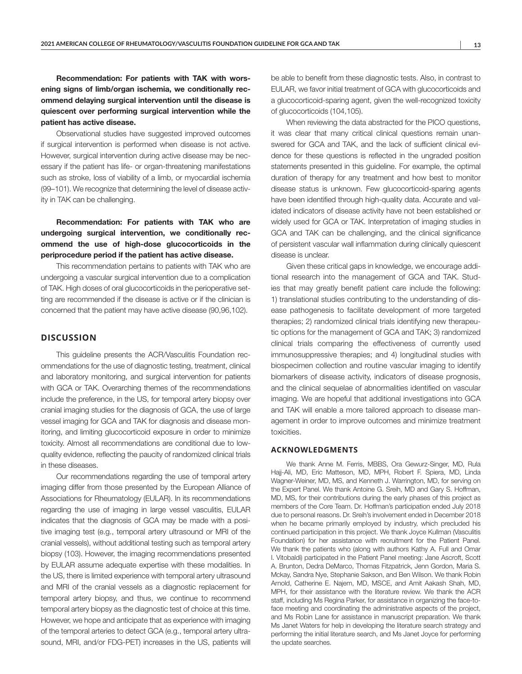Recommendation: For patients with TAK with worsening signs of limb/organ ischemia, we conditionally recommend delaying surgical intervention until the disease is quiescent over performing surgical intervention while the patient has active disease.

Observational studies have suggested improved outcomes if surgical intervention is performed when disease is not active. However, surgical intervention during active disease may be necessary if the patient has life- or organ-threatening manifestations such as stroke, loss of viability of a limb, or myocardial ischemia (99–101). We recognize that determining the level of disease activity in TAK can be challenging.

Recommendation: For patients with TAK who are undergoing surgical intervention, we conditionally recommend the use of high-dose glucocorticoids in the periprocedure period if the patient has active disease.

This recommendation pertains to patients with TAK who are undergoing a vascular surgical intervention due to a complication of TAK. High doses of oral glucocorticoids in the perioperative setting are recommended if the disease is active or if the clinician is concerned that the patient may have active disease (90,96,102).

#### **DISCUSSION**

This guideline presents the ACR/Vasculitis Foundation recommendations for the use of diagnostic testing, treatment, clinical and laboratory monitoring, and surgical intervention for patients with GCA or TAK. Overarching themes of the recommendations include the preference, in the US, for temporal artery biopsy over cranial imaging studies for the diagnosis of GCA, the use of large vessel imaging for GCA and TAK for diagnosis and disease monitoring, and limiting glucocorticoid exposure in order to minimize toxicity. Almost all recommendations are conditional due to lowquality evidence, reflecting the paucity of randomized clinical trials in these diseases.

Our recommendations regarding the use of temporal artery imaging differ from those presented by the European Alliance of Associations for Rheumatology (EULAR). In its recommendations regarding the use of imaging in large vessel vasculitis, EULAR indicates that the diagnosis of GCA may be made with a positive imaging test (e.g., temporal artery ultrasound or MRI of the cranial vessels), without additional testing such as temporal artery biopsy (103). However, the imaging recommendations presented by EULAR assume adequate expertise with these modalities. In the US, there is limited experience with temporal artery ultrasound and MRI of the cranial vessels as a diagnostic replacement for temporal artery biopsy, and thus, we continue to recommend temporal artery biopsy as the diagnostic test of choice at this time. However, we hope and anticipate that as experience with imaging of the temporal arteries to detect GCA (e.g., temporal artery ultrasound, MRI, and/or FDG-PET) increases in the US, patients will

be able to benefit from these diagnostic tests. Also, in contrast to EULAR, we favor initial treatment of GCA with glucocorticoids and a glucocorticoid-sparing agent, given the well-recognized toxicity of glucocorticoids (104,105).

When reviewing the data abstracted for the PICO questions, it was clear that many critical clinical questions remain unanswered for GCA and TAK, and the lack of sufficient clinical evidence for these questions is reflected in the ungraded position statements presented in this guideline. For example, the optimal duration of therapy for any treatment and how best to monitor disease status is unknown. Few glucocorticoid-sparing agents have been identified through high-quality data. Accurate and validated indicators of disease activity have not been established or widely used for GCA or TAK. Interpretation of imaging studies in GCA and TAK can be challenging, and the clinical significance of persistent vascular wall inflammation during clinically quiescent disease is unclear.

Given these critical gaps in knowledge, we encourage additional research into the management of GCA and TAK. Studies that may greatly benefit patient care include the following: 1) translational studies contributing to the understanding of disease pathogenesis to facilitate development of more targeted therapies; 2) randomized clinical trials identifying new therapeutic options for the management of GCA and TAK; 3) randomized clinical trials comparing the effectiveness of currently used immunosuppressive therapies; and 4) longitudinal studies with biospecimen collection and routine vascular imaging to identify biomarkers of disease activity, indicators of disease prognosis, and the clinical sequelae of abnormalities identified on vascular imaging. We are hopeful that additional investigations into GCA and TAK will enable a more tailored approach to disease management in order to improve outcomes and minimize treatment toxicities.

#### **ACKNOWLEDGMENTS**

We thank Anne M. Ferris, MBBS, Ora Gewurz-Singer, MD, Rula Hajj-Ali, MD, Eric Matteson, MD, MPH, Robert F. Spiera, MD, Linda Wagner-Weiner, MD, MS, and Kenneth J. Warrington, MD, for serving on the Expert Panel. We thank Antoine G. Sreih, MD and Gary S. Hoffman, MD, MS, for their contributions during the early phases of this project as members of the Core Team. Dr. Hoffman's participation ended July 2018 due to personal reasons. Dr. Sreih's involvement ended in December 2018 when he became primarily employed by industry, which precluded his continued participation in this project. We thank Joyce Kullman (Vasculitis Foundation) for her assistance with recruitment for the Patient Panel. We thank the patients who (along with authors Kathy A. Full and Omar I. Vitobaldi) participated in the Patient Panel meeting: Jane Ascroft, Scott A. Brunton, Dedra DeMarco, Thomas Fitzpatrick, Jenn Gordon, Maria S. Mckay, Sandra Nye, Stephanie Sakson, and Ben Wilson. We thank Robin Arnold, Catherine E. Najem, MD, MSCE, and Amit Aakash Shah, MD, MPH, for their assistance with the literature review. We thank the ACR staff, including Ms Regina Parker, for assistance in organizing the face-toface meeting and coordinating the administrative aspects of the project, and Ms Robin Lane for assistance in manuscript preparation. We thank Ms Janet Waters for help in developing the literature search strategy and performing the initial literature search, and Ms Janet Joyce for performing the update searches.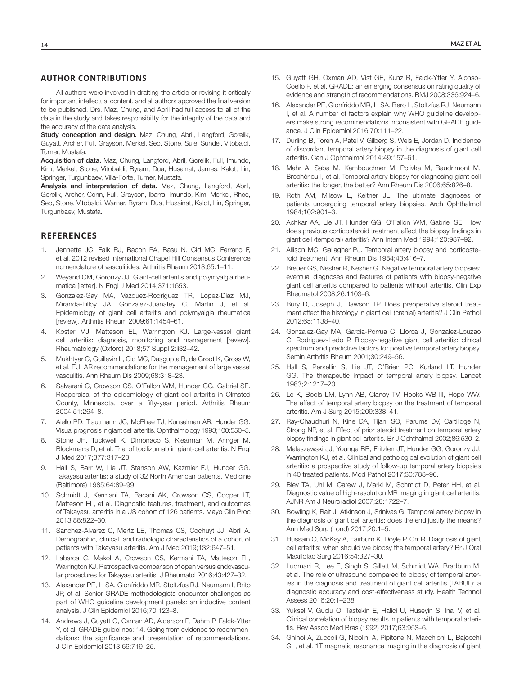#### **AUTHOR CONTRIBUTIONS**

All authors were involved in drafting the article or revising it critically for important intellectual content, and all authors approved the final version to be published. Drs. Maz, Chung, and Abril had full access to all of the data in the study and takes responsibility for the integrity of the data and the accuracy of the data analysis.

Study conception and design. Maz, Chung, Abril, Langford, Gorelik, Guyatt, Archer, Full, Grayson, Merkel, Seo, Stone, Sule, Sundel, Vitobaldi, Turner, Mustafa.

Acquisition of data. Maz, Chung, Langford, Abril, Gorelik, Full, Imundo, Kim, Merkel, Stone, Vitobaldi, Byram, Dua, Husainat, James, Kalot, Lin, Springer, Turgunbaev, Villa-Forte, Turner, Mustafa.

Analysis and interpretation of data. Maz, Chung, Langford, Abril, Gorelik, Archer, Conn, Full, Grayson, Ibarra, Imundo, Kim, Merkel, Rhee, Seo, Stone, Vitobaldi, Warner, Byram, Dua, Husainat, Kalot, Lin, Springer, Turgunbaev, Mustafa.

#### **REFERENCES**

- 1. Jennette JC, Falk RJ, Bacon PA, Basu N, Cid MC, Ferrario F, et al. 2012 revised International Chapel Hill Consensus Conference nomenclature of vasculitides. Arthritis Rheum 2013;65:1–11.
- 2. Weyand CM, Goronzy JJ. Giant-cell arteritis and polymyalgia rheumatica [letter]. N Engl J Med 2014;371:1653.
- 3. Gonzalez-Gay MA, Vazquez-Rodriguez TR, Lopez-Diaz MJ, Miranda-Filloy JA, Gonzalez-Juanatey C, Martin J, et al. Epidemiology of giant cell arteritis and polymyalgia rheumatica [review]. Arthritis Rheum 2009;61:1454–61.
- 4. Koster MJ, Matteson EL, Warrington KJ. Large-vessel giant cell arteritis: diagnosis, monitoring and management [review]. Rheumatology (Oxford) 2018;57 Suppl 2:ii32–42.
- 5. Mukhtyar C, Guillevin L, Cid MC, Dasgupta B, de Groot K, Gross W, et al. EULAR recommendations for the management of large vessel vasculitis. Ann Rheum Dis 2009;68:318–23.
- 6. Salvarani C, Crowson CS, O'Fallon WM, Hunder GG, Gabriel SE. Reappraisal of the epidemiology of giant cell arteritis in Olmsted County, Minnesota, over a fifty-year period. Arthritis Rheum 2004;51:264–8.
- 7. Aiello PD, Trautmann JC, McPhee TJ, Kunselman AR, Hunder GG. Visual prognosis in giant cell arteritis. Ophthalmology 1993;100:550–5.
- 8. Stone JH, Tuckwell K, Dimonaco S, Klearman M, Aringer M, Blockmans D, et al. Trial of tocilizumab in giant-cell arteritis. N Engl J Med 2017;377:317–28.
- 9. Hall S, Barr W, Lie JT, Stanson AW, Kazmier FJ, Hunder GG. Takayasu arteritis: a study of 32 North American patients. Medicine (Baltimore) 1985;64:89–99.
- 10. Schmidt J, Kermani TA, Bacani AK, Crowson CS, Cooper LT, Matteson EL, et al. Diagnostic features, treatment, and outcomes of Takayasu arteritis in a US cohort of 126 patients. Mayo Clin Proc 2013;88:822–30.
- 11. Sanchez-Alvarez C, Mertz LE, Thomas CS, Cochuyt JJ, Abril A. Demographic, clinical, and radiologic characteristics of a cohort of patients with Takayasu arteritis. Am J Med 2019;132:647–51.
- 12. Labarca C, Makol A, Crowson CS, Kermani TA, Matteson EL, Warrington KJ. Retrospective comparison of open versus endovascular procedures for Takayasu arteritis. J Rheumatol 2016;43:427–32.
- 13. Alexander PE, Li SA, Gionfriddo MR, Stoltzfus RJ, Neumann I, Brito JP, et al. Senior GRADE methodologists encounter challenges as part of WHO guideline development panels: an inductive content analysis. J Clin Epidemiol 2016;70:123–8.
- 14. Andrews J, Guyatt G, Oxman AD, Alderson P, Dahm P, Falck-Ytter Y, et al. GRADE guidelines: 14. Going from evidence to recommendations: the significance and presentation of recommendations. J Clin Epidemiol 2013;66:719–25.
- 15. Guyatt GH, Oxman AD, Vist GE, Kunz R, Falck-Ytter Y, Alonso-Coello P, et al. GRADE: an emerging consensus on rating quality of evidence and strength of recommendations. BMJ 2008;336:924–6.
- 16. Alexander PE, Gionfriddo MR, Li SA, Bero L, Stoltzfus RJ, Neumann I, et al. A number of factors explain why WHO guideline developers make strong recommendations inconsistent with GRADE guidance. J Clin Epidemiol 2016;70:111–22.
- 17. Durling B, Toren A, Patel V, Gilberg S, Weis E, Jordan D. Incidence of discordant temporal artery biopsy in the diagnosis of giant cell arteritis. Can J Ophthalmol 2014;49:157–61.
- 18. Mahr A, Saba M, Kambouchner M, Polivka M, Baudrimont M, Brochériou I, et al. Temporal artery biopsy for diagnosing giant cell arteritis: the longer, the better? Ann Rheum Dis 2006;65:826–8.
- 19. Roth AM, Milsow L, Keltner JL. The ultimate diagnoses of patients undergoing temporal artery biopsies. Arch Ophthalmol 1984;102:901–3.
- 20. Achkar AA, Lie JT, Hunder GG, O'Fallon WM, Gabriel SE. How does previous corticosteroid treatment affect the biopsy findings in giant cell (temporal) arteritis? Ann Intern Med 1994;120:987–92.
- 21. Allison MC, Gallagher PJ. Temporal artery biopsy and corticosteroid treatment. Ann Rheum Dis 1984;43:416–7.
- 22. Breuer GS, Nesher R, Nesher G. Negative temporal artery biopsies: eventual diagnoses and features of patients with biopsy-negative giant cell arteritis compared to patients without arteritis. Clin Exp Rheumatol 2008;26:1103–6.
- 23. Bury D, Joseph J, Dawson TP. Does preoperative steroid treatment affect the histology in giant cell (cranial) arteritis? J Clin Pathol 2012;65:1138–40.
- 24. Gonzalez-Gay MA, Garcia-Porrua C, Llorca J, Gonzalez-Louzao C, Rodriguez-Ledo P. Biopsy-negative giant cell arteritis: clinical spectrum and predictive factors for positive temporal artery biopsy. Semin Arthritis Rheum 2001;30:249–56.
- 25. Hall S, Persellin S, Lie JT, O'Brien PC, Kurland LT, Hunder GG. The therapeutic impact of temporal artery biopsy. Lancet 1983;2:1217–20.
- 26. Le K, Bools LM, Lynn AB, Clancy TV, Hooks WB III, Hope WW. The effect of temporal artery biopsy on the treatment of temporal arteritis. Am J Surg 2015;209:338–41.
- 27. Ray-Chaudhuri N, Kine DA, Tijani SO, Parums DV, Cartilidge N, Strong NP, et al. Effect of prior steroid treatment on temporal artery biopsy findings in giant cell arteritis. Br J Ophthalmol 2002;86:530–2.
- 28. Maleszewski JJ, Younge BR, Fritzlen JT, Hunder GG, Goronzy JJ, Warrington KJ, et al. Clinical and pathological evolution of giant cell arteritis: a prospective study of follow-up temporal artery biopsies in 40 treated patients. Mod Pathol 2017;30:788–96.
- 29. Bley TA, Uhl M, Carew J, Markl M, Schmidt D, Peter HH, et al. Diagnostic value of high-resolution MR imaging in giant cell arteritis. AJNR Am J Neuroradiol 2007;28:1722–7.
- 30. Bowling K, Rait J, Atkinson J, Srinivas G. Temporal artery biopsy in the diagnosis of giant cell arteritis: does the end justify the means? Ann Med Surg (Lond) 2017;20:1–5.
- 31. Hussain O, McKay A, Fairburn K, Doyle P, Orr R. Diagnosis of giant cell arteritis: when should we biopsy the temporal artery? Br J Oral Maxillofac Surg 2016;54:327–30.
- 32. Luqmani R, Lee E, Singh S, Gillett M, Schmidt WA, Bradburn M, et al. The role of ultrasound compared to biopsy of temporal arteries in the diagnosis and treatment of giant cell arteritis (TABUL): a diagnostic accuracy and cost-effectiveness study. Health Technol Assess 2016;20:1–238.
- 33. Yuksel V, Guclu O, Tastekin E, Halici U, Huseyin S, Inal V, et al. Clinical correlation of biopsy results in patients with temporal arteritis. Rev Assoc Med Bras (1992) 2017;63:953–6.
- 34. Ghinoi A, Zuccoli G, Nicolini A, Pipitone N, Macchioni L, Bajocchi GL, et al. 1T magnetic resonance imaging in the diagnosis of giant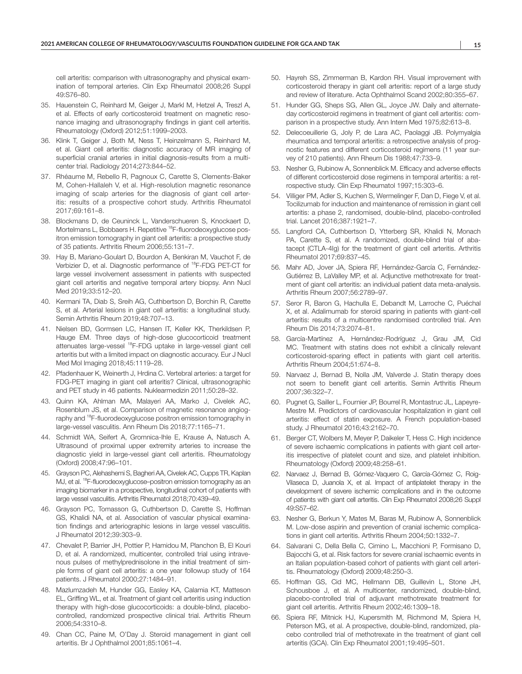cell arteritis: comparison with ultrasonography and physical examination of temporal arteries. Clin Exp Rheumatol 2008;26 Suppl 49:S76–80.

- 35. Hauenstein C, Reinhard M, Geiger J, Markl M, Hetzel A, Treszl A, et al. Effects of early corticosteroid treatment on magnetic resonance imaging and ultrasonography findings in giant cell arteritis. Rheumatology (Oxford) 2012;51:1999–2003.
- 36. Klink T, Geiger J, Both M, Ness T, Heinzelmann S, Reinhard M, et al. Giant cell arteritis: diagnostic accuracy of MR imaging of superficial cranial arteries in initial diagnosis-results from a multicenter trial. Radiology 2014;273:844–52.
- 37. Rhéaume M, Rebello R, Pagnoux C, Carette S, Clements-Baker M, Cohen-Hallaleh V, et al. High-resolution magnetic resonance imaging of scalp arteries for the diagnosis of giant cell arteritis: results of a prospective cohort study. Arthritis Rheumatol 2017;69:161–8.
- 38. Blockmans D, de Ceuninck L, Vanderschueren S, Knockaert D, Mortelmans L, Bobbaers H. Repetitive <sup>18</sup>F-fluorodeoxyglucose positron emission tomography in giant cell arteritis: a prospective study of 35 patients. Arthritis Rheum 2006;55:131–7.
- 39. Hay B, Mariano-Goulart D, Bourdon A, Benkiran M, Vauchot F, de Verbizier D, et al. Diagnostic performance of 18F-FDG PET-CT for large vessel involvement assessment in patients with suspected giant cell arteritis and negative temporal artery biopsy. Ann Nucl Med 2019;33:512–20.
- 40. Kermani TA, Diab S, Sreih AG, Cuthbertson D, Borchin R, Carette S, et al. Arterial lesions in giant cell arteritis: a longitudinal study. Semin Arthritis Rheum 2019;48:707–13.
- 41. Nielsen BD, Gormsen LC, Hansen IT, Keller KK, Therkildsen P, Hauge EM. Three days of high-dose glucocorticoid treatment attenuates large-vessel 18F-FDG uptake in large-vessel giant cell arteritis but with a limited impact on diagnostic accuracy. Eur J Nucl Med Mol Imaging 2018;45:1119–28.
- 42. Pfadenhauer K, Weinerth J, Hrdina C. Vertebral arteries: a target for FDG-PET imaging in giant cell arteritis? Clinical, ultrasonographic and PET study in 46 patients. Nuklearmedizin 2011;50:28–32.
- 43. Quinn KA, Ahlman MA, Malayeri AA, Marko J, Civelek AC, Rosenblum JS, et al. Comparison of magnetic resonance angiography and <sup>18</sup>F-fluorodeoxyglucose positron emission tomography in large-vessel vasculitis. Ann Rheum Dis 2018;77:1165–71.
- 44. Schmidt WA, Seifert A, Gromnica-Ihle E, Krause A, Natusch A. Ultrasound of proximal upper extremity arteries to increase the diagnostic yield in large-vessel giant cell arteritis. Rheumatology (Oxford) 2008;47:96–101.
- 45. Grayson PC, Alehashemi S, Bagheri AA, Civelek AC, Cupps TR, Kaplan MJ, et al. <sup>18</sup>F-fluorodeoxyglucose-positron emission tomography as an imaging biomarker in a prospective, longitudinal cohort of patients with large vessel vasculitis. Arthritis Rheumatol 2018;70:439–49.
- 46. Grayson PC, Tomasson G, Cuthbertson D, Carette S, Hoffman GS, Khalidi NA, et al. Association of vascular physical examination findings and arteriographic lesions in large vessel vasculitis. J Rheumatol 2012;39:303–9.
- 47. Chevalet P, Barrier JH, Pottier P, Hamidou M, Planchon B, El Kouri D, et al. A randomized, multicenter, controlled trial using intravenous pulses of methylprednisolone in the initial treatment of simple forms of giant cell arteritis: a one year followup study of 164 patients. J Rheumatol 2000;27:1484–91.
- 48. Mazlumzadeh M, Hunder GG, Easley KA, Calamia KT, Matteson EL, Griffing WL, et al. Treatment of giant cell arteritis using induction therapy with high-dose glucocorticoids: a double-blind, placebocontrolled, randomized prospective clinical trial. Arthritis Rheum 2006;54:3310–8.
- 49. Chan CC, Paine M, O'Day J. Steroid management in giant cell arteritis. Br J Ophthalmol 2001;85:1061–4.
- 50. Hayreh SS, Zimmerman B, Kardon RH. Visual improvement with corticosteroid therapy in giant cell arteritis: report of a large study and review of literature. Acta Ophthalmol Scand 2002;80:355–67.
- 51. Hunder GG, Sheps SG, Allen GL, Joyce JW. Daily and alternateday corticosteroid regimens in treatment of giant cell arteritis: comparison in a prospective study. Ann Intern Med 1975;82:613–8.
- 52. Delecoeuillerie G, Joly P, de Lara AC, Paolaggi JB. Polymyalgia rheumatica and temporal arteritis: a retrospective analysis of prognostic features and different corticosteroid regimens (11 year survey of 210 patients). Ann Rheum Dis 1988;47:733–9.
- 53. Nesher G, Rubinow A, Sonnenblick M. Efficacy and adverse effects of different corticosteroid dose regimens in temporal arteritis: a retrospective study. Clin Exp Rheumatol 1997;15:303–6.
- 54. Villiger PM, Adler S, Kuchen S, Wermelinger F, Dan D, Fiege V, et al. Tocilizumab for induction and maintenance of remission in giant cell arteritis: a phase 2, randomised, double-blind, placebo-controlled trial. Lancet 2016;387:1921–7.
- 55. Langford CA, Cuthbertson D, Ytterberg SR, Khalidi N, Monach PA, Carette S, et al. A randomized, double-blind trial of abatacept (CTLA-4Ig) for the treatment of giant cell arteritis. Arthritis Rheumatol 2017;69:837–45.
- 56. Mahr AD, Jover JA, Spiera RF, Hernández-García C, Fernández-Gutiérrez B, LaValley MP, et al. Adjunctive methotrexate for treatment of giant cell arteritis: an individual patient data meta-analysis. Arthritis Rheum 2007;56:2789–97.
- 57. Seror R, Baron G, Hachulla E, Debandt M, Larroche C, Puéchal X, et al. Adalimumab for steroid sparing in patients with giant-cell arteritis: results of a multicentre randomised controlled trial. Ann Rheum Dis 2014;73:2074–81.
- 58. García-Martínez A, Hernández-Rodríguez J, Grau JM, Cid MC. Treatment with statins does not exhibit a clinically relevant corticosteroid-sparing effect in patients with giant cell arteritis. Arthritis Rheum 2004;51:674–8.
- 59. Narvaez J, Bernad B, Nolla JM, Valverde J. Statin therapy does not seem to benefit giant cell arteritis. Semin Arthritis Rheum 2007;36:322–7.
- 60. Pugnet G, Sailler L, Fournier JP, Bourrel R, Montastruc JL, Lapeyre-Mestre M. Predictors of cardiovascular hospitalization in giant cell arteritis: effect of statin exposure. A French population-based study. J Rheumatol 2016;43:2162–70.
- 61. Berger CT, Wolbers M, Meyer P, Daikeler T, Hess C. High incidence of severe ischaemic complications in patients with giant cell arteritis irrespective of platelet count and size, and platelet inhibition. Rheumatology (Oxford) 2009;48:258–61.
- 62. Narvaez J, Bernad B, Gómez-Vaquero C, García-Gómez C, Roig-Vilaseca D, Juanola X, et al. Impact of antiplatelet therapy in the development of severe ischemic complications and in the outcome of patients with giant cell arteritis. Clin Exp Rheumatol 2008;26 Suppl 49:S57–62.
- 63. Nesher G, Berkun Y, Mates M, Baras M, Rubinow A, Sonnenblick M. Low-dose aspirin and prevention of cranial ischemic complications in giant cell arteritis. Arthritis Rheum 2004;50:1332–7.
- 64. Salvarani C, Della Bella C, Cimino L, Macchioni P, Formisano D, Bajocchi G, et al. Risk factors for severe cranial ischaemic events in an Italian population-based cohort of patients with giant cell arteritis. Rheumatology (Oxford) 2009;48:250–3.
- 65. Hoffman GS, Cid MC, Hellmann DB, Guillevin L, Stone JH, Schousboe J, et al. A multicenter, randomized, double-blind, placebo-controlled trial of adjuvant methotrexate treatment for giant cell arteritis. Arthritis Rheum 2002;46:1309–18.
- 66. Spiera RF, Mitnick HJ, Kupersmith M, Richmond M, Spiera H, Peterson MG, et al. A prospective, double-blind, randomized, placebo controlled trial of methotrexate in the treatment of giant cell arteritis (GCA). Clin Exp Rheumatol 2001;19:495–501.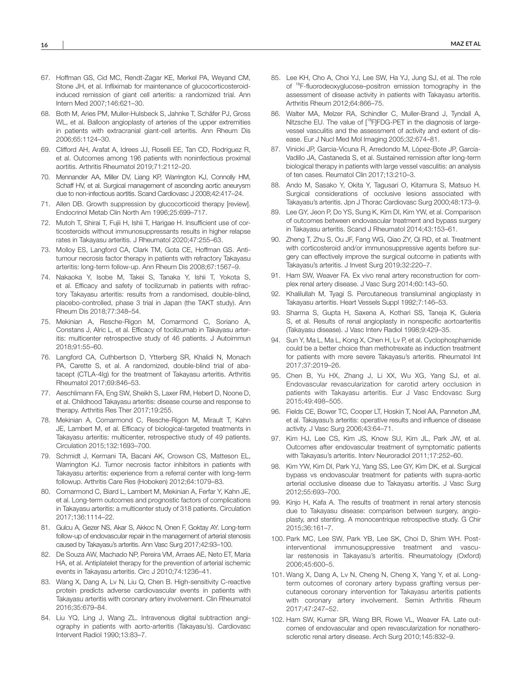- 67. Hoffman GS, Cid MC, Rendt-Zagar KE, Merkel PA, Weyand CM, Stone JH, et al. Infliximab for maintenance of glucocorticosteroidinduced remission of giant cell arteritis: a randomized trial. Ann Intern Med 2007;146:621–30.
- 68. Both M, Aries PM, Muller-Hulsbeck S, Jahnke T, Schäfer PJ, Gross WL, et al. Balloon angioplasty of arteries of the upper extremities in patients with extracranial giant-cell arteritis. Ann Rheum Dis 2006;65:1124–30.
- 69. Clifford AH, Arafat A, Idrees JJ, Roselli EE, Tan CD, Rodriguez R, et al. Outcomes among 196 patients with noninfectious proximal aortitis. Arthritis Rheumatol 2019;71:2112–20.
- 70. Mennander AA, Miller DV, Liang KP, Warrington KJ, Connolly HM, Schaff HV, et al. Surgical management of ascending aortic aneurysm due to non-infectious aortitis. Scand Cardiovasc J 2008;42:417–24.
- 71. Allen DB. Growth suppression by glucocorticoid therapy [review]. Endocrinol Metab Clin North Am 1996;25:699–717.
- 72. Mutoh T, Shirai T, Fujii H, Ishii T, Harigae H. Insufficient use of corticosteroids without immunosuppressants results in higher relapse rates in Takayasu arteritis. J Rheumatol 2020;47:255–63.
- 73. Molloy ES, Langford CA, Clark TM, Gota CE, Hoffman GS. Antitumour necrosis factor therapy in patients with refractory Takayasu arteritis: long-term follow-up. Ann Rheum Dis 2008;67:1567–9.
- 74. Nakaoka Y, Isobe M, Takei S, Tanaka Y, Ishii T, Yokota S, et al. Efficacy and safety of tocilizumab in patients with refractory Takayasu arteritis: results from a randomised, double-blind, placebo-controlled, phase 3 trial in Japan (the TAKT study). Ann Rheum Dis 2018;77:348–54.
- 75. Mekinian A, Resche-Rigon M, Comarmond C, Soriano A, Constans J, Alric L, et al. Efficacy of tocilizumab in Takayasu arteritis: multicenter retrospective study of 46 patients. J Autoimmun 2018;91:55–60.
- 76. Langford CA, Cuthbertson D, Ytterberg SR, Khalidi N, Monach PA, Carette S, et al. A randomized, double-blind trial of abatacept (CTLA-4Ig) for the treatment of Takayasu arteritis. Arthritis Rheumatol 2017;69:846–53.
- 77. Aeschlimann FA, Eng SW, Sheikh S, Laxer RM, Hebert D, Noone D, et al. Childhood Takayasu arteritis: disease course and response to therapy. Arthritis Res Ther 2017;19:255.
- 78. Mekinian A, Comarmond C, Resche-Rigon M, Mirault T, Kahn JE, Lambert M, et al. Efficacy of biological-targeted treatments in Takayasu arteritis: multicenter, retrospective study of 49 patients. Circulation 2015;132:1693–700.
- 79. Schmidt J, Kermani TA, Bacani AK, Crowson CS, Matteson EL, Warrington KJ. Tumor necrosis factor inhibitors in patients with Takayasu arteritis: experience from a referral center with long-term followup. Arthritis Care Res (Hoboken) 2012;64:1079–83.
- 80. Comarmond C, Biard L, Lambert M, Mekinian A, Ferfar Y, Kahn JE, et al. Long-term outcomes and prognostic factors of complications in Takayasu arteritis: a multicenter study of 318 patients. Circulation 2017;136:1114–22.
- 81. Gulcu A, Gezer NS, Akar S, Akkoc N, Onen F, Goktay AY. Long-term follow-up of endovascular repair in the management of arterial stenosis caused by Takayasu's arteritis. Ann Vasc Surg 2017;42:93–100.
- 82. De Souza AW, Machado NP, Pereira VM, Arraes AE, Neto ET, Maria HA, et al. Antiplatelet therapy for the prevention of arterial ischemic events in Takayasu arteritis. Circ J 2010;74:1236–41.
- 83. Wang X, Dang A, Lv N, Liu Q, Chen B. High-sensitivity C-reactive protein predicts adverse cardiovascular events in patients with Takayasu arteritis with coronary artery involvement. Clin Rheumatol 2016;35:679–84.
- 84. Liu YQ, Ling J, Wang ZL. Intravenous digital subtraction angiography in patients with aorto-arteritis (Takayasu's). Cardiovasc Intervent Radiol 1990;13:83–7.
- 85. Lee KH, Cho A, Choi YJ, Lee SW, Ha YJ, Jung SJ, et al. The role of 18F-fluorodeoxyglucose–positron emission tomography in the assessment of disease activity in patients with Takayasu arteritis. Arthritis Rheum 2012;64:866–75.
- 86. Walter MA, Melzer RA, Schindler C, Muller-Brand J, Tyndall A, Nitzsche EU. The value of [18F]FDG-PET in the diagnosis of largevessel vasculitis and the assessment of activity and extent of disease. Eur J Nucl Med Mol Imaging 2005;32:674–81.
- 87. Vinicki JP, Garcia-Vicuna R, Arredondo M, López-Bote JP, García-Vadillo JA, Castaneda S, et al. Sustained remission after long-term biological therapy in patients with large vessel vasculitis: an analysis of ten cases. Reumatol Clin 2017;13:210–3.
- 88. Ando M, Sasako Y, Okita Y, Tagusari O, Kitamura S, Matsuo H. Surgical considerations of occlusive lesions associated with Takayasu's arteritis. Jpn J Thorac Cardiovasc Surg 2000;48:173–9.
- 89. Lee GY, Jeon P, Do YS, Sung K, Kim DI, Kim YW, et al. Comparison of outcomes between endovascular treatment and bypass surgery in Takayasu arteritis. Scand J Rheumatol 2014;43:153–61.
- 90. Zheng T, Zhu S, Ou JF, Fang WG, Qiao ZY, Qi RD, et al. Treatment with corticosteroid and/or immunosuppressive agents before surgery can effectively improve the surgical outcome in patients with Takayasu's arteritis. J Invest Surg 2019;32:220–7.
- 91. Ham SW, Weaver FA. Ex vivo renal artery reconstruction for complex renal artery disease. J Vasc Surg 2014;60:143–50.
- 92. Khalilullah M, Tyagi S. Percutaneous transluminal angioplasty in Takayasu arteritis. Heart Vessels Suppl 1992;7:146–53.
- 93. Sharma S, Gupta H, Saxena A, Kothari SS, Taneja K, Guleria S, et al. Results of renal angioplasty in nonspecific aortoarteritis (Takayasu disease). J Vasc Interv Radiol 1998;9:429–35.
- 94. Sun Y, Ma L, Ma L, Kong X, Chen H, Lv P, et al. Cyclophosphamide could be a better choice than methotrexate as induction treatment for patients with more severe Takayasu's arteritis. Rheumatol Int 2017;37:2019–26.
- 95. Chen B, Yu HX, Zhang J, Li XX, Wu XG, Yang SJ, et al. Endovascular revascularization for carotid artery occlusion in patients with Takayasu arteritis. Eur J Vasc Endovasc Surg 2015;49:498–505.
- 96. Fields CE, Bower TC, Cooper LT, Hoskin T, Noel AA, Panneton JM, et al. Takayasu's arteritis: operative results and influence of disease activity. J Vasc Surg 2006;43:64–71.
- 97. Kim HJ, Lee CS, Kim JS, Know SU, Kim JL, Park JW, et al. Outcomes after endovascular treatment of symptomatic patients with Takayasu's arteritis. Interv Neuroradiol 2011;17:252–60.
- 98. Kim YW, Kim DI, Park YJ, Yang SS, Lee GY, Kim DK, et al. Surgical bypass vs endovascular treatment for patients with supra-aortic arterial occlusive disease due to Takayasu arteritis. J Vasc Surg 2012;55:693–700.
- 99. Kinjo H, Kafa A. The results of treatment in renal artery stenosis due to Takayasu disease: comparison between surgery, angioplasty, and stenting. A monocentrique retrospective study. G Chir 2015;36:161–7.
- 100. Park MC, Lee SW, Park YB, Lee SK, Choi D, Shim WH. Postinterventional immunosuppressive treatment and vascular restenosis in Takayasu's arteritis. Rheumatology (Oxford) 2006;45:600–5.
- 101. Wang X, Dang A, Lv N, Cheng N, Cheng X, Yang Y, et al. Longterm outcomes of coronary artery bypass grafting versus percutaneous coronary intervention for Takayasu arteritis patients with coronary artery involvement. Semin Arthritis Rheum 2017;47:247–52.
- 102. Ham SW, Kumar SR, Wang BR, Rowe VL, Weaver FA. Late outcomes of endovascular and open revascularization for nonatherosclerotic renal artery disease. Arch Surg 2010;145:832–9.